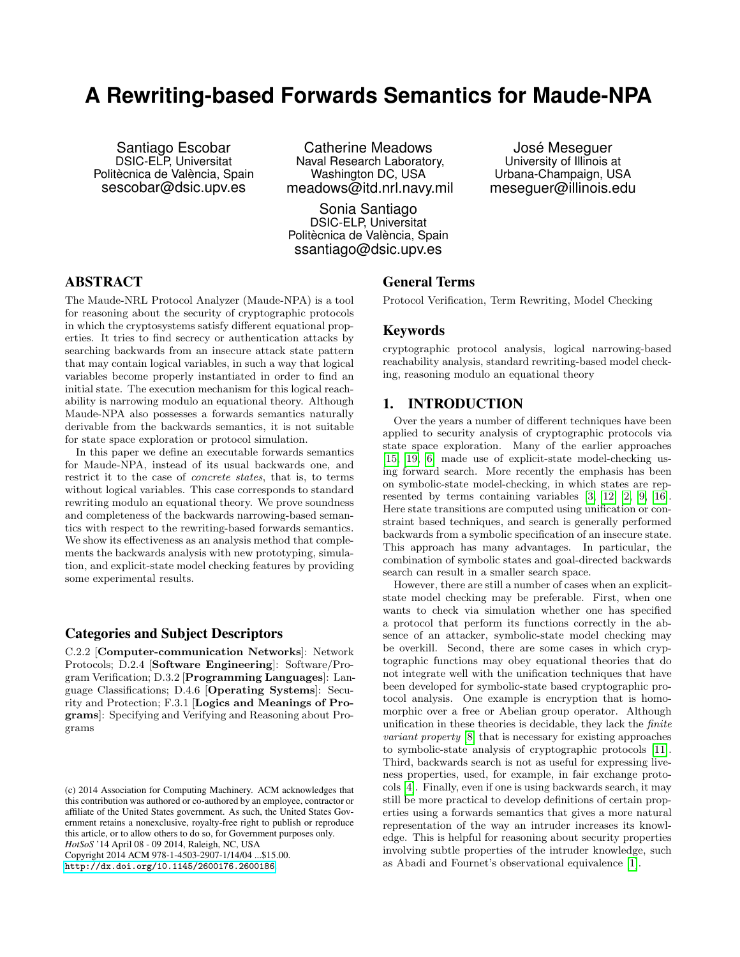# **A Rewriting-based Forwards Semantics for Maude-NPA**

Santiago Escobar DSIC-ELP, Universitat Politècnica de València, Spain sescobar@dsic.upv.es

Catherine Meadows Naval Research Laboratory, Washington DC, USA meadows@itd.nrl.navy.mil

Sonia Santiago DSIC-ELP, Universitat Politècnica de València, Spain ssantiago@dsic.upv.es

José Meseguer University of Illinois at Urbana-Champaign, USA meseguer@illinois.edu

# ABSTRACT

The Maude-NRL Protocol Analyzer (Maude-NPA) is a tool for reasoning about the security of cryptographic protocols in which the cryptosystems satisfy different equational properties. It tries to find secrecy or authentication attacks by searching backwards from an insecure attack state pattern that may contain logical variables, in such a way that logical variables become properly instantiated in order to find an initial state. The execution mechanism for this logical reachability is narrowing modulo an equational theory. Although Maude-NPA also possesses a forwards semantics naturally derivable from the backwards semantics, it is not suitable for state space exploration or protocol simulation.

In this paper we define an executable forwards semantics for Maude-NPA, instead of its usual backwards one, and restrict it to the case of concrete states, that is, to terms without logical variables. This case corresponds to standard rewriting modulo an equational theory. We prove soundness and completeness of the backwards narrowing-based semantics with respect to the rewriting-based forwards semantics. We show its effectiveness as an analysis method that complements the backwards analysis with new prototyping, simulation, and explicit-state model checking features by providing some experimental results.

## Categories and Subject Descriptors

C.2.2 [Computer-communication Networks]: Network Protocols; D.2.4 [Software Engineering]: Software/Program Verification; D.3.2 [Programming Languages]: Language Classifications; D.4.6 [Operating Systems]: Security and Protection; F.3.1 [Logics and Meanings of Programs]: Specifying and Verifying and Reasoning about Programs

*HotSoS* '14 April 08 - 09 2014, Raleigh, NC, USA

Copyright 2014 ACM 978-1-4503-2907-1/14/04 ...\$15.00.

<http://dx.doi.org/10.1145/2600176.2600186>.

#### General Terms

Protocol Verification, Term Rewriting, Model Checking

#### Keywords

cryptographic protocol analysis, logical narrowing-based reachability analysis, standard rewriting-based model checking, reasoning modulo an equational theory

## 1. INTRODUCTION

Over the years a number of different techniques have been applied to security analysis of cryptographic protocols via state space exploration. Many of the earlier approaches [\[15,](#page-9-0) [19,](#page-9-1) [6\]](#page-9-2) made use of explicit-state model-checking using forward search. More recently the emphasis has been on symbolic-state model-checking, in which states are represented by terms containing variables [\[3,](#page-9-3) [12,](#page-9-4) [2,](#page-9-5) [9,](#page-9-6) [16\]](#page-9-7). Here state transitions are computed using unification or constraint based techniques, and search is generally performed backwards from a symbolic specification of an insecure state. This approach has many advantages. In particular, the combination of symbolic states and goal-directed backwards search can result in a smaller search space.

However, there are still a number of cases when an explicitstate model checking may be preferable. First, when one wants to check via simulation whether one has specified a protocol that perform its functions correctly in the absence of an attacker, symbolic-state model checking may be overkill. Second, there are some cases in which cryptographic functions may obey equational theories that do not integrate well with the unification techniques that have been developed for symbolic-state based cryptographic protocol analysis. One example is encryption that is homomorphic over a free or Abelian group operator. Although unification in these theories is decidable, they lack the finite variant property [\[8\]](#page-9-8) that is necessary for existing approaches to symbolic-state analysis of cryptographic protocols [\[11\]](#page-9-9). Third, backwards search is not as useful for expressing liveness properties, used, for example, in fair exchange protocols [\[4\]](#page-9-10). Finally, even if one is using backwards search, it may still be more practical to develop definitions of certain properties using a forwards semantics that gives a more natural representation of the way an intruder increases its knowledge. This is helpful for reasoning about security properties involving subtle properties of the intruder knowledge, such as Abadi and Fournet's observational equivalence [\[1\]](#page-9-11).

<sup>(</sup>c) 2014 Association for Computing Machinery. ACM acknowledges that this contribution was authored or co-authored by an employee, contractor or affiliate of the United States government. As such, the United States Government retains a nonexclusive, royalty-free right to publish or reproduce this article, or to allow others to do so, for Government purposes only.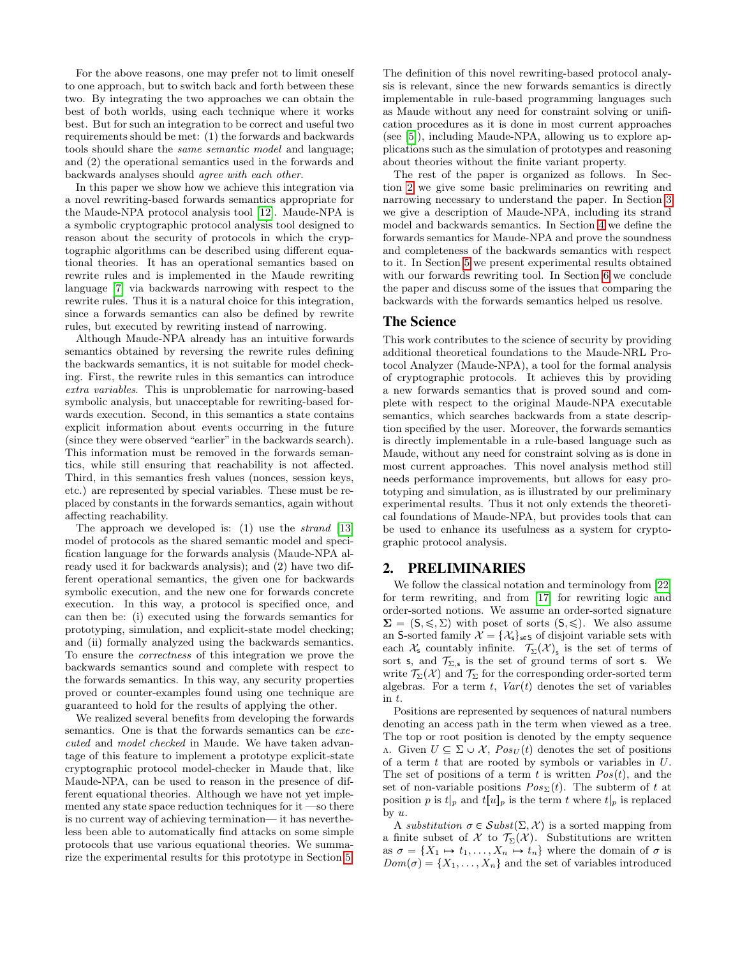For the above reasons, one may prefer not to limit oneself to one approach, but to switch back and forth between these two. By integrating the two approaches we can obtain the best of both worlds, using each technique where it works best. But for such an integration to be correct and useful two requirements should be met: (1) the forwards and backwards tools should share the same semantic model and language; and (2) the operational semantics used in the forwards and backwards analyses should agree with each other.

In this paper we show how we achieve this integration via a novel rewriting-based forwards semantics appropriate for the Maude-NPA protocol analysis tool [\[12\]](#page-9-4). Maude-NPA is a symbolic cryptographic protocol analysis tool designed to reason about the security of protocols in which the cryptographic algorithms can be described using different equational theories. It has an operational semantics based on rewrite rules and is implemented in the Maude rewriting language [\[7\]](#page-9-12) via backwards narrowing with respect to the rewrite rules. Thus it is a natural choice for this integration, since a forwards semantics can also be defined by rewrite rules, but executed by rewriting instead of narrowing.

Although Maude-NPA already has an intuitive forwards semantics obtained by reversing the rewrite rules defining the backwards semantics, it is not suitable for model checking. First, the rewrite rules in this semantics can introduce extra variables. This is unproblematic for narrowing-based symbolic analysis, but unacceptable for rewriting-based forwards execution. Second, in this semantics a state contains explicit information about events occurring in the future (since they were observed "earlier" in the backwards search). This information must be removed in the forwards semantics, while still ensuring that reachability is not affected. Third, in this semantics fresh values (nonces, session keys, etc.) are represented by special variables. These must be replaced by constants in the forwards semantics, again without affecting reachability.

The approach we developed is: (1) use the *strand* [\[13\]](#page-9-13) model of protocols as the shared semantic model and specification language for the forwards analysis (Maude-NPA already used it for backwards analysis); and (2) have two different operational semantics, the given one for backwards symbolic execution, and the new one for forwards concrete execution. In this way, a protocol is specified once, and can then be: (i) executed using the forwards semantics for prototyping, simulation, and explicit-state model checking; and (ii) formally analyzed using the backwards semantics. To ensure the correctness of this integration we prove the backwards semantics sound and complete with respect to the forwards semantics. In this way, any security properties proved or counter-examples found using one technique are guaranteed to hold for the results of applying the other.

We realized several benefits from developing the forwards semantics. One is that the forwards semantics can be executed and model checked in Maude. We have taken advantage of this feature to implement a prototype explicit-state cryptographic protocol model-checker in Maude that, like Maude-NPA, can be used to reason in the presence of different equational theories. Although we have not yet implemented any state space reduction techniques for it —so there is no current way of achieving termination— it has nevertheless been able to automatically find attacks on some simple protocols that use various equational theories. We summarize the experimental results for this prototype in Section [5.](#page-8-0) The definition of this novel rewriting-based protocol analysis is relevant, since the new forwards semantics is directly implementable in rule-based programming languages such as Maude without any need for constraint solving or unification procedures as it is done in most current approaches (see [\[5\]](#page-9-14)), including Maude-NPA, allowing us to explore applications such as the simulation of prototypes and reasoning about theories without the finite variant property.

The rest of the paper is organized as follows. In Section [2](#page-1-0) we give some basic preliminaries on rewriting and narrowing necessary to understand the paper. In Section [3](#page-2-0) we give a description of Maude-NPA, including its strand model and backwards semantics. In Section [4](#page-5-0) we define the forwards semantics for Maude-NPA and prove the soundness and completeness of the backwards semantics with respect to it. In Section [5](#page-8-0) we present experimental results obtained with our forwards rewriting tool. In Section [6](#page-8-1) we conclude the paper and discuss some of the issues that comparing the backwards with the forwards semantics helped us resolve.

#### The Science

This work contributes to the science of security by providing additional theoretical foundations to the Maude-NRL Protocol Analyzer (Maude-NPA), a tool for the formal analysis of cryptographic protocols. It achieves this by providing a new forwards semantics that is proved sound and complete with respect to the original Maude-NPA executable semantics, which searches backwards from a state description specified by the user. Moreover, the forwards semantics is directly implementable in a rule-based language such as Maude, without any need for constraint solving as is done in most current approaches. This novel analysis method still needs performance improvements, but allows for easy prototyping and simulation, as is illustrated by our preliminary experimental results. Thus it not only extends the theoretical foundations of Maude-NPA, but provides tools that can be used to enhance its usefulness as a system for cryptographic protocol analysis.

#### <span id="page-1-0"></span>2. PRELIMINARIES

We follow the classical notation and terminology from [\[22\]](#page-9-15) for term rewriting, and from [\[17\]](#page-9-16) for rewriting logic and order-sorted notions. We assume an order-sorted signature  $\Sigma = (S, \leq, \Sigma)$  with poset of sorts  $(S, \leq)$ . We also assume an S-sorted family  $\mathcal{X} = {\mathcal{X}_s}_{s \in S}$  of disjoint variable sets with each  $\mathcal{X}_s$  countably infinite.  $\mathcal{T}_{\Sigma}(\mathcal{X})_s$  is the set of terms of sort s, and  $\mathcal{T}_{\Sigma,\mathsf{s}}$  is the set of ground terms of sort s. We write  $\mathcal{T}_{\Sigma}(\mathcal{X})$  and  $\mathcal{T}_{\Sigma}$  for the corresponding order-sorted term algebras. For a term  $t$ ,  $Var(t)$  denotes the set of variables in t.

Positions are represented by sequences of natural numbers denoting an access path in the term when viewed as a tree. The top or root position is denoted by the empty sequence  $Λ$ . Given  $U \subseteq \Sigma \cup \mathcal{X}$ ,  $Pos_U(t)$  denotes the set of positions of a term  $t$  that are rooted by symbols or variables in  $U$ . The set of positions of a term t is written  $Pos(t)$ , and the set of non-variable positions  $Pos_{\Sigma}(t)$ . The subterm of t at position p is  $t|_p$  and  $t[u]_p$  is the term t where  $t|_p$  is replaced by  $u$ .

A substitution  $\sigma \in Subst(\Sigma, \mathcal{X})$  is a sorted mapping from a finite subset of X to  $\mathcal{T}_{\Sigma}(\mathcal{X})$ . Substitutions are written as  $\sigma = \{X_1 \mapsto t_1, \ldots, X_n \mapsto t_n\}$  where the domain of  $\sigma$  is  $Dom(\sigma) = \{X_1, \ldots, X_n\}$  and the set of variables introduced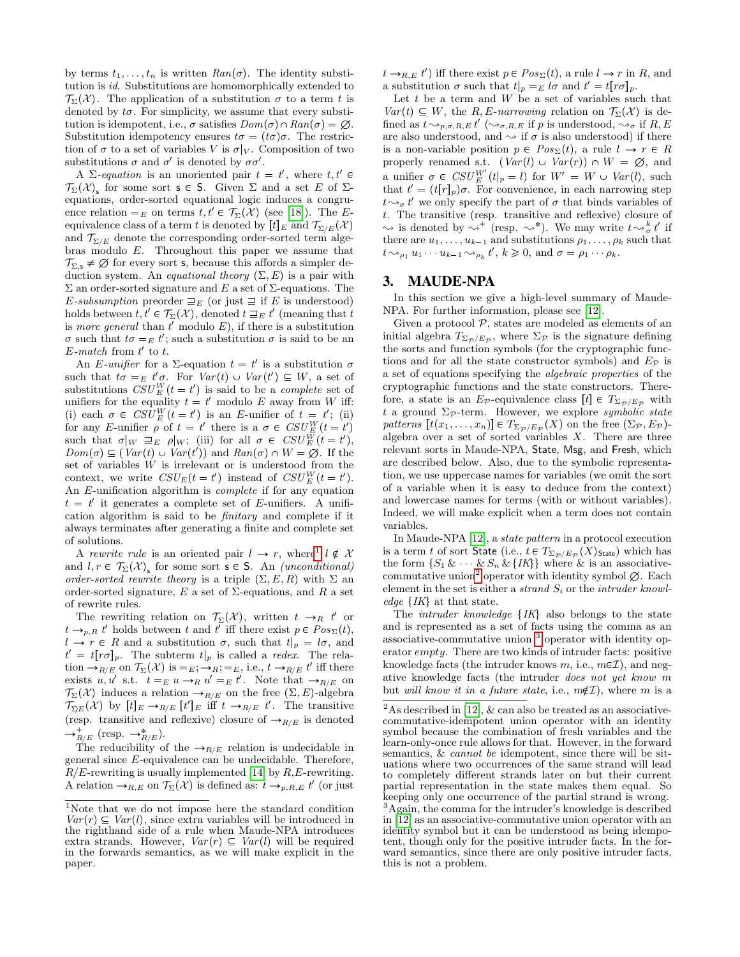by terms  $t_1, \ldots, t_n$  is written  $Ran(\sigma)$ . The identity substitution is id. Substitutions are homomorphically extended to  $\mathcal{T}_{\Sigma}(\mathcal{X})$ . The application of a substitution  $\sigma$  to a term t is denoted by  $t\sigma$ . For simplicity, we assume that every substitution is idempotent, i.e.,  $\sigma$  satisfies  $Dom(\sigma) \cap Ran(\sigma) = \emptyset$ . Substitution idempotency ensures  $t\sigma = (t\sigma)\sigma$ . The restriction of  $\sigma$  to a set of variables V is  $\sigma|_V$ . Composition of two substitutions  $\sigma$  and  $\sigma'$  is denoted by  $\sigma\sigma'$ .

A  $\Sigma$ -equation is an unoriented pair  $t = t'$ , where  $t, t' \in$  $\mathcal{T}_{\Sigma}(\mathcal{X})_{s}$  for some sort  $s \in S$ . Given  $\Sigma$  and a set E of  $\Sigma$ equations, order-sorted equational logic induces a congruence relation  $=_E$  on terms  $t, t' \in \mathcal{T}_{\Sigma}(\mathcal{X})$  (see [\[18\]](#page-9-17)). The Eequivalence class of a term t is denoted by  $[t]_E$  and  $\mathcal{T}_{\Sigma/E}(\mathcal{X})$ and  $\mathcal{T}_{\Sigma/E}$  denote the corresponding order-sorted term algebras modulo E. Throughout this paper we assume that  $\mathcal{T}_{\Sigma,\mathsf{s}} \neq \emptyset$  for every sort **s**, because this affords a simpler deduction system. An *equational theory*  $(\Sigma, E)$  is a pair with Σ an order-sorted signature and E a set of Σ-equations. The E-subsumption preorder  $\sqsupseteq_E$  (or just  $\sqsupseteq$  if E is understood) holds between  $t, t' \in \mathcal{T}_{\Sigma}(\mathcal{X})$ , denoted  $t \sqsupseteq_E t'$  (meaning that  $t$ ) is more general than  $t'$  modulo  $E$ ), if there is a substitution  $\sigma$  such that  $t\sigma =_E t'$ ; such a substitution  $\sigma$  is said to be an  $E$ -match from  $t'$  to  $t$ .

An E-unifier for a  $\Sigma$ -equation  $t = t'$  is a substitution  $\sigma$ such that  $t\sigma =_E t'\sigma$ . For  $Var(t) \cup Var(t') \subseteq W$ , a set of substitutions  $CSU_{E}^{W}(t=t')$  is said to be a *complete* set of unifiers for the equality  $t = t'$  modulo E away from W iff: (i) each  $\sigma \in \text{CSU}_{E}^{W}(t=t')$  is an E-unifier of  $t = t'$ ; (ii) for any E-unifier  $\rho$  of  $t = t'$  there is a  $\sigma \in \text{CSU}_{E}^{W}(t = t')$ such that  $\sigma|_W \supseteq_E \rho|_W$ ; (iii) for all  $\sigma \in \mathit{CSU}_E^W(t=t'),$  $Dom(\sigma) \subseteq (Var(t) \cup Var(t'))$  and  $Ran(\sigma) \cap W = \emptyset$ . If the set of variables  $W$  is irrelevant or is understood from the context, we write  $CSU_E(t = t')$  instead of  $CSU_E^W(t = t')$ . An E-unification algorithm is complete if for any equation  $t = t'$  it generates a complete set of E-unifiers. A unification algorithm is said to be finitary and complete if it always terminates after generating a finite and complete set of solutions.

A rewrite rule is an oriented pair  $l \rightarrow r$ , where  $l \notin \mathcal{X}$ and  $l, r \in \mathcal{T}_{\Sigma}(\mathcal{X})_{s}$  for some sort  $s \in S$ . An *(unconditional)* order-sorted rewrite theory is a triple  $(\Sigma, E, R)$  with  $\Sigma$  an order-sorted signature,  $E$  a set of  $\Sigma$ -equations, and  $R$  a set of rewrite rules.

The rewriting relation on  $\mathcal{T}_{\Sigma}(\mathcal{X})$ , written  $t \to_R t'$  or  $t \rightarrow_{p,R} t'$  holds between t and t' iff there exist  $p \in Pos_{\Sigma}(t)$ ,  $l \to r \in R$  and a substitution  $\sigma$ , such that  $t|_p = l\sigma$ , and  $t' = t[r\sigma]_p$ . The subterm  $t|_p$  is called a *redex*. The relation  $\rightarrow_{R/E}$  on  $\mathcal{T}_{\Sigma}(\mathcal{X})$  is  $=$   $E$ ;  $\rightarrow$   $R$ ;  $=$   $E$ , i.e.,  $t \rightarrow$   $_{R/E} t'$  iff there exists u, u' s.t.  $t =_E u \rightarrow_R u' =_E t'$ . Note that  $\rightarrow_{R/E}$  on  $\mathcal{T}_{\Sigma}(\mathcal{X})$  induces a relation  $\rightarrow_{R/E}$  on the free  $(\Sigma, E)$ -algebra  $\mathcal{T}_{\Sigma E}(\mathcal{X})$  by  $[t]_E \to_{R/E} [t']_E$  iff  $t \to_{R/E} t'$ . The transitive (resp. transitive and reflexive) closure of  $\rightarrow_{R/E}$  is denoted  $\rightarrow_{R/E}^+$  (resp.  $\rightarrow_{R/E}^*$ ).

The reducibility of the  $\rightarrow_{R/E}$  relation is undecidable in general since E-equivalence can be undecidable. Therefore,  $R/E$ -rewriting is usually implemented [\[14\]](#page-9-18) by  $R, E$ -rewriting. A relation  $\rightarrow_{R,E}$  on  $\mathcal{T}_{\Sigma}(\mathcal{X})$  is defined as:  $t \rightarrow_{p,R,E} t'$  (or just

 $t \rightarrow_{R,E} t'$  iff there exist  $p \in Pos_{\Sigma}(t)$ , a rule  $l \rightarrow r$  in R, and a substitution  $\sigma$  such that  $t|_p =_E l\sigma$  and  $t' = t[r\sigma]_p$ .

Let  $t$  be a term and  $W$  be a set of variables such that  $Var(t) \subseteq W$ , the R, E-narrowing relation on  $\mathcal{T}_{\Sigma}(\mathcal{X})$  is defined as  $t \rightarrow_{p,\sigma,R,E} t' \ (\rightarrow_{\sigma,R,E} \text{ if } p \text{ is understood}, \rightarrow_{\sigma} \text{ if } R, E)$ are also understood, and  $\sim$  if  $\sigma$  is also understood) if there is a non-variable position  $p \in Pos_{\Sigma}(t)$ , a rule  $l \to r \in R$ properly renamed s.t.  $(Var(l) \cup Var(r)) \cap W = \emptyset$ , and a unifier  $\sigma \in \text{CSU}_{E}^{W'}(t|_{p} = l)$  for  $W' = W \cup \text{Var}(l)$ , such that  $t' = (t[r]_p)\sigma$ . For convenience, in each narrowing step  $t \rightarrow_{\sigma} t'$  we only specify the part of  $\sigma$  that binds variables of t. The transitive (resp. transitive and reflexive) closure of  $\rightsquigarrow$  is denoted by  $\rightsquigarrow^+$  (resp.  $\rightsquigarrow^*)$ ). We may write  $t \rightsquigarrow^k_{\sigma} t'$  if there are  $u_1, \ldots, u_{k-1}$  and substitutions  $\rho_1, \ldots, \rho_k$  such that  $t \rightarrow_{\rho_1} u_1 \cdots u_{k-1} \rightarrow_{\rho_k} t', k \geqslant 0$ , and  $\sigma = \rho_1 \cdots \rho_k$ .

#### <span id="page-2-0"></span>3. MAUDE-NPA

In this section we give a high-level summary of Maude-NPA. For further information, please see [\[12\]](#page-9-4).

Given a protocol  $P$ , states are modeled as elements of an initial algebra  $T_{\Sigma_{\mathcal{P}}/E_{\mathcal{P}}}$ , where  $\Sigma_{\mathcal{P}}$  is the signature defining the sorts and function symbols (for the cryptographic functions and for all the state constructor symbols) and  $E_{\mathcal{P}}$  is a set of equations specifying the algebraic properties of the cryptographic functions and the state constructors. Therefore, a state is an  $E_{\mathcal{P}}$ -equivalence class  $[t] \in T_{\Sigma_{\mathcal{P}}/E_{\mathcal{P}}}$  with t a ground  $\Sigma_{\mathcal{P}}$ -term. However, we explore symbolic state patterns  $[t(x_1, \ldots, x_n)] \in T_{\Sigma_{\mathcal{P}}/E_{\mathcal{P}}}(X)$  on the free  $(\Sigma_{\mathcal{P}}, E_{\mathcal{P}})$ algebra over a set of sorted variables  $X$ . There are three relevant sorts in Maude-NPA, State, Msg, and Fresh, which are described below. Also, due to the symbolic representation, we use uppercase names for variables (we omit the sort of a variable when it is easy to deduce from the context) and lowercase names for terms (with or without variables). Indeed, we will make explicit when a term does not contain variables.

In Maude-NPA [\[12\]](#page-9-4), a state pattern in a protocol execution is a term  $t$  of sort <code>State</code> (i.e.,  $t \in T_{\Sigma_{\mathcal{P}}/E_{\mathcal{P}}}(X)_{\mathsf{State}})$  which has the form  $\{S_1 \& \& S_n \& \{IK\}\}\$  where  $\&$  is an associative-commutative union<sup>[2](#page-2-2)</sup> operator with identity symbol  $\emptyset$ . Each element in the set is either a *strand*  $S_i$  or the *intruder knowledge*  $\{IK\}$  at that state.

The *intruder knowledge*  $\{IK\}$  also belongs to the state and is represented as a set of facts using the comma as an associative-commutative union [3](#page-2-3) operator with identity operator empty. There are two kinds of intruder facts: positive knowledge facts (the intruder knows  $m$ , i.e.,  $m\epsilon\mathcal{I}$ ), and negative knowledge facts (the intruder does not yet know m but will know it in a future state, i.e.,  $m\notin\mathcal{I}$ ), where m is a

<span id="page-2-1"></span><sup>1</sup>Note that we do not impose here the standard condition  $Var(r) \subseteq Var(l)$ , since extra variables will be introduced in the righthand side of a rule when Maude-NPA introduces extra strands. However,  $Var(r) \subseteq Var(l)$  will be required in the forwards semantics, as we will make explicit in the paper.

<span id="page-2-3"></span><span id="page-2-2"></span> $2^2$ As described in [\[12\]](#page-9-4), & can also be treated as an associativecommutative-idempotent union operator with an identity symbol because the combination of fresh variables and the learn-only-once rule allows for that. However, in the forward semantics, & cannot be idempotent, since there will be situations where two occurrences of the same strand will lead to completely different strands later on but their current partial representation in the state makes them equal. So keeping only one occurrence of the partial strand is wrong. <sup>3</sup>Again, the comma for the intruder's knowledge is described in [\[12\]](#page-9-4) as an associative-commutative union operator with an identity symbol but it can be understood as being idempotent, though only for the positive intruder facts. In the forward semantics, since there are only positive intruder facts, this is not a problem.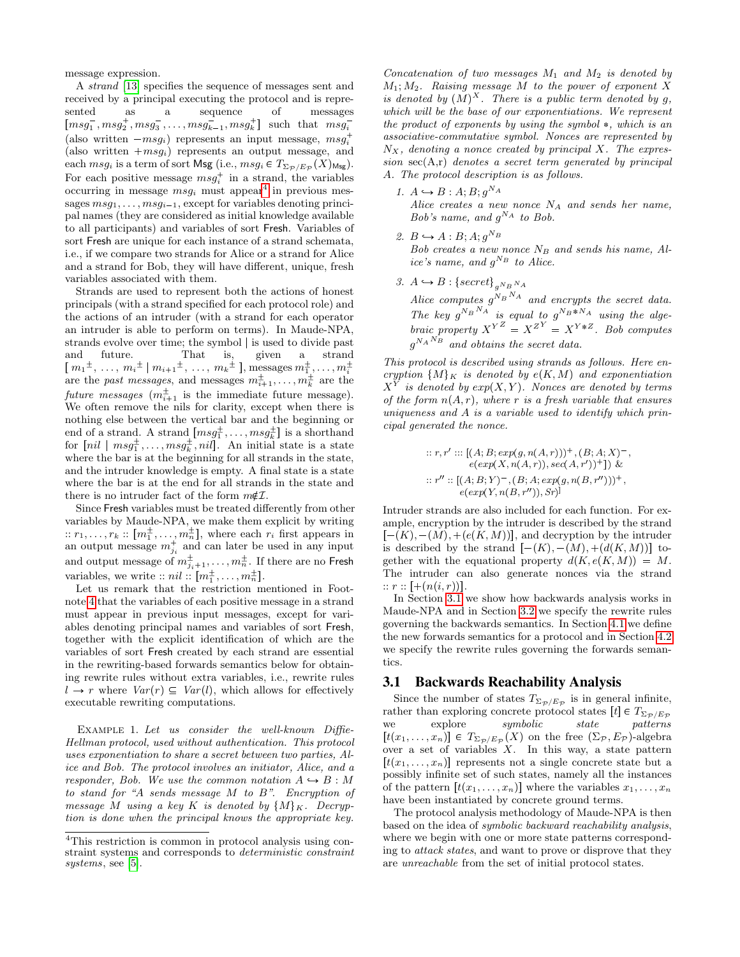message expression.

A strand [\[13\]](#page-9-13) specifies the sequence of messages sent and received by a principal executing the protocol and is represented as a sequence of messages  ${\left[ msg_1^-, msg_2^+, msg_3^-, \ldots, msg_{k-1}^-, msg_k^+ \right]}$  such that  $msg_i^-$ (also written  $-msg_i$ ) represents an input message,  $msg_i^+$ (also written  $+msg_i$ ) represents an output message, and each  $msg_i$  is a term of sort  $\mathsf{Msg}\left(\mathrm{i.e.}, msg_i \in T_{\Sigma_{\mathcal{P}}/E_{\mathcal{P}}}(X)_{\mathsf{Msg}}\right)$ . For each positive message  $msg_i^+$  in a strand, the variables occurring in message  $msg_i$  must appear<sup>[4](#page-3-0)</sup> in previous messages  $msg_1, \ldots, msg_{i-1}$ , except for variables denoting principal names (they are considered as initial knowledge available to all participants) and variables of sort Fresh. Variables of sort Fresh are unique for each instance of a strand schemata, i.e., if we compare two strands for Alice or a strand for Alice and a strand for Bob, they will have different, unique, fresh variables associated with them.

Strands are used to represent both the actions of honest principals (with a strand specified for each protocol role) and the actions of an intruder (with a strand for each operator an intruder is able to perform on terms). In Maude-NPA, strands evolve over time; the symbol | is used to divide past and future. That is, given a strand  $[m_1^{\pm}, ..., m_i^{\pm} | m_{i+1}^{\pm}, ..., m_k^{\pm}],$  messages  $m_1^{\pm}, ..., m_i^{\pm}$  are the *past messages*, and messages  $m_{i+1}^{\pm}, ..., m_k^{\pm}$  are the future messages  $(m_{i+1}^{\pm})$  is the immediate future message). We often remove the nils for clarity, except when there is nothing else between the vertical bar and the beginning or end of a strand. A strand  $[msg^{\pm}_1, \ldots, msg^{\pm}_k]$  is a shorthand for  $\left[ nil \mid msg^{\pm}_{1}, \ldots, msg^{\pm}_{k}, nil \right]$ . An initial state is a state where the bar is at the beginning for all strands in the state, and the intruder knowledge is empty. A final state is a state where the bar is at the end for all strands in the state and there is no intruder fact of the form  $m\notin\mathcal{I}$ .

Since Fresh variables must be treated differently from other variables by Maude-NPA, we make them explicit by writing  $:: r_1, \ldots, r_k :: [m_1^{\pm}, \ldots, m_n^{\pm}],$  where each  $r_i$  first appears in and  $\{m_1, \ldots, n_k, \ldots, m_n\}$ , where each  $n_i$  inst appears in<br>an output message  $m_{j_i}^+$  and can later be used in any input and output message of  $m_{j_i+1}^{\pm},\ldots,m_n^{\pm}$ . If there are no Fresh variables, we write  $:: nil :: [m_1^{\pm}, \ldots, m_n^{\pm}].$ 

Let us remark that the restriction mentioned in Footnote [4](#page-3-0) that the variables of each positive message in a strand must appear in previous input messages, except for variables denoting principal names and variables of sort Fresh, together with the explicit identification of which are the variables of sort Fresh created by each strand are essential in the rewriting-based forwards semantics below for obtaining rewrite rules without extra variables, i.e., rewrite rules  $l \rightarrow r$  where  $Var(r) \subseteq Var(l)$ , which allows for effectively executable rewriting computations.

<span id="page-3-2"></span>EXAMPLE 1. Let us consider the well-known Diffie-Hellman protocol, used without authentication. This protocol uses exponentiation to share a secret between two parties, Alice and Bob. The protocol involves an initiator, Alice, and a responder, Bob. We use the common notation  $A \rightarrow B : M$ to stand for "A sends message M to B". Encryption of message M using a key K is denoted by  $\{M\}_K$ . Decryption is done when the principal knows the appropriate key.

Concatenation of two messages  $M_1$  and  $M_2$  is denoted by  $M_1; M_2$ . Raising message M to the power of exponent X is denoted by  $(M)^X$ . There is a public term denoted by g, which will be the base of our exponentiations. We represent the product of exponents by using the symbol  $\ast$ , which is an associative-commutative symbol. Nonces are represented by  $N_X$ , denoting a nonce created by principal X. The expression  $sec(A,r)$  denotes a secret term generated by principal A. The protocol description is as follows.

- 1.  $A \hookrightarrow B : A; B; g^{N_A}$ Alice creates a new nonce  $N_A$  and sends her name, Bob's name, and  $g^{NA}$  to Bob.
- 2.  $B \hookrightarrow A : B; A; g^{N_B}$ Bob creates a new nonce  $N_B$  and sends his name, Alice's name, and  $g^{N_B}$  to Alice.
- 3.  $A \hookrightarrow B : \{secret\}_{g^{N_B N_A}}$

Alice computes  $g^{N_B N_A}$  and encrypts the secret data. The key  $g^{N_B N_A}$  is equal to  $g^{N_B*N_A}$  using the algebraic property  $X^{YZ} = X^{ZY} = X^{Y*Z}$ . Bob computes  $g^{N_A N_B}$  and obtains the secret data.

This protocol is described using strands as follows. Here encryption  $\{M\}_K$  is denoted by  $e(K, M)$  and exponentiation  $X^Y$  is denoted by  $exp(X, Y)$ . Nonces are denoted by terms of the form  $n(A, r)$ , where r is a fresh variable that ensures uniqueness and  $A$  is a variable used to identify which principal generated the nonce.

$$
\begin{aligned} ::r, r' :: & \left[(A;B;exp(g,n(A,r)))^{+}, (B;A;X)^{-}, \right. \\ & \left. e(exp(X,n(A,r)),sec(A,r'))^{+} \right] \right) \, \& \\ ::r'': \left[(A;B;Y)^{-}, (B;A;exp(g,n(B,r'')))^{+}, \right. \\ & \left. e(exp(Y,n(B,r'')),Sr)\right] \end{aligned}
$$

Intruder strands are also included for each function. For example, encryption by the intruder is described by the strand  $[-(K), -(M), +(e(K, M))]$ , and decryption by the intruder is described by the strand  $[-(K), -(M), +(d(K, M))]$  together with the equational property  $d(K, e(K, M)) = M$ . The intruder can also generate nonces via the strand  $:: r :: [+n(i, r))].$ 

In Section [3.1](#page-3-1) we show how backwards analysis works in Maude-NPA and in Section [3.2](#page-4-0) we specify the rewrite rules governing the backwards semantics. In Section [4.1](#page-5-1) we define the new forwards semantics for a protocol and in Section [4.2](#page-6-0) we specify the rewrite rules governing the forwards semantics.

#### <span id="page-3-1"></span>3.1 Backwards Reachability Analysis

Since the number of states  $T_{\Sigma_{\mathcal{P}}/E_{\mathcal{P}}}$  is in general infinite, rather than exploring concrete protocol states  $[t] \in T_{\Sigma_{\mathcal{P}}/E_{\mathcal{P}}}$ <br>we explore *symbolic state patterns* we explore  $symbol{isymbol{ic}}$  $[t(x_1, \ldots, x_n)] \in T_{\Sigma_{\mathcal{P}}/E_{\mathcal{P}}}(X)$  on the free  $(\Sigma_{\mathcal{P}}, E_{\mathcal{P}})$ -algebra over a set of variables  $X$ . In this way, a state pattern  $[t(x_1, \ldots, x_n)]$  represents not a single concrete state but a possibly infinite set of such states, namely all the instances of the pattern  $[t(x_1, \ldots, x_n)]$  where the variables  $x_1, \ldots, x_n$ have been instantiated by concrete ground terms.

<span id="page-3-3"></span>The protocol analysis methodology of Maude-NPA is then based on the idea of symbolic backward reachability analysis, where we begin with one or more state patterns corresponding to attack states, and want to prove or disprove that they are unreachable from the set of initial protocol states.

<span id="page-3-0"></span><sup>4</sup>This restriction is common in protocol analysis using constraint systems and corresponds to deterministic constraint systems, see [\[5\]](#page-9-14).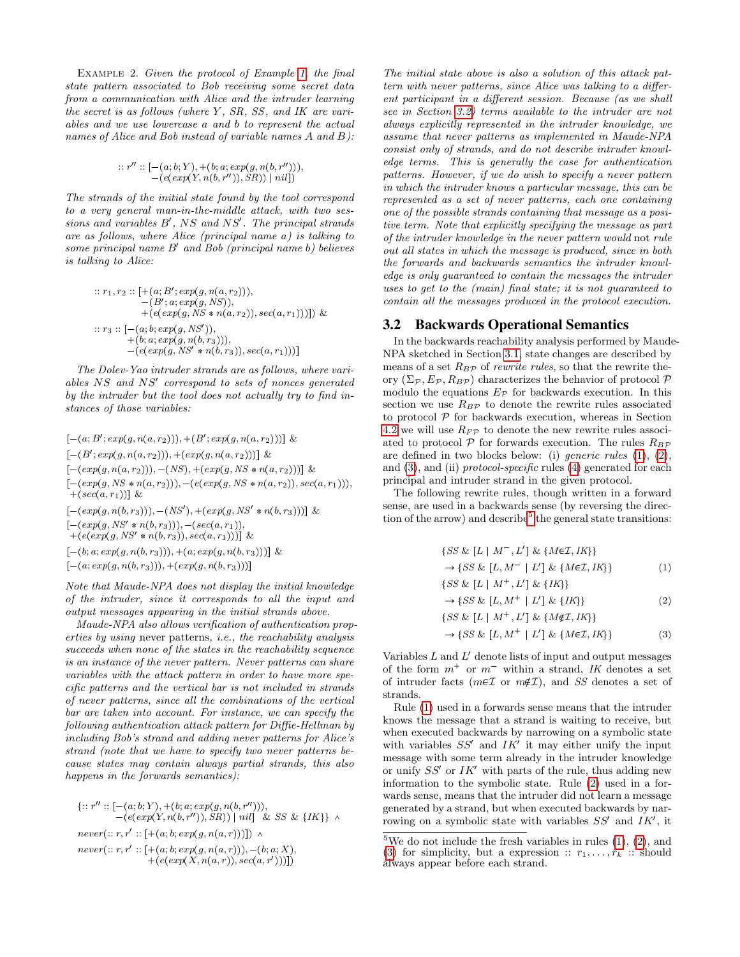Example 2. Given the protocol of Example [1,](#page-3-2) the final state pattern associated to Bob receiving some secret data from a communication with Alice and the intruder learning the secret is as follows (where  $Y$ ,  $SR$ ,  $SS$ , and  $IK$  are variables and we use lowercase a and b to represent the actual names of Alice and Bob instead of variable names A and B):

$$
::r'': [-(a;b;Y), +(b;a;exp(g,n(b,r'))),\\ -(e(exp(Y,n(b,r'')),SR)) | nil])
$$

The strands of the initial state found by the tool correspond to a very general man-in-the-middle attack, with two sessions and variables  $B'$ , NS and NS'. The principal strands are as follows, where Alice (principal name a) is talking to some principal name B' and Bob (principal name b) believes is talking to Alice:

$$
\begin{array}{ll}::r_1, r_2::[+(a; B'; exp(g, n(a, r_2))),\\ & -(B'; a; exp(g, NS)),\\ & +(e(exp(g, NS*n(a, r_2)), sec(a, r_1)))]\) \ \&\\::r_3:: [-(a; b; exp(g, NS')),\\ & +(b; a; exp(g, n(b, r_3))),\\ & -(e(exp(g, NS'*n(b, r_3)), sec(a, r_1)))]\end{array}
$$

The Dolev-Yao intruder strands are as follows, where variables NS and NS' correspond to sets of nonces generated by the intruder but the tool does not actually try to find instances of those variables:

$$
[-(a; B'; exp(g, n(a, r_2))), +(B'; exp(g, n(a, r_2)))] & \&
$$
  
\n
$$
[-(B'; exp(g, n(a, r_2))), +(exp(g, n(a, r_2)))] & \&
$$
  
\n
$$
[-(exp(g, n(a, r_2))), -(NS), +(exp(g, NS * n(a, r_2)))] & \&
$$
  
\n
$$
[-(exp(g, NS * n(a, r_2))), -(e(exp(g, NS * n(a, r_2)), sec(a, r_1))),
$$
  
\n
$$
+ (sec(a, r_1))] & \&
$$
  
\n
$$
[-(exp(g, n(b, r_3))), -(NS'), +(exp(g, NS' * n(b, r_3)))] & \&
$$
  
\n
$$
[-(exp(g, NS' * n(b, r_3))), -(sec(a, r_1)))] & \&
$$
  
\n
$$
[-(b; a; exp(g, n(b, r_3))), +(a; exp(g, n(b, r_3)))] & \&
$$
  
\n
$$
[-(a; exp(g, n(b, r_3))), +(exp(g, n(b, r_3)))] & \&
$$

Note that Maude-NPA does not display the initial knowledge of the intruder, since it corresponds to all the input and output messages appearing in the initial strands above.

Maude-NPA also allows verification of authentication properties by using never patterns, i.e., the reachability analysis succeeds when none of the states in the reachability sequence is an instance of the never pattern. Never patterns can share variables with the attack pattern in order to have more specific patterns and the vertical bar is not included in strands of never patterns, since all the combinations of the vertical bar are taken into account. For instance, we can specify the following authentication attack pattern for Diffie-Hellman by including Bob's strand and adding never patterns for Alice's strand (note that we have to specify two never patterns because states may contain always partial strands, this also happens in the forwards semantics):

$$
\begin{aligned} &\{::\, r''\,::\,[-(a;b;Y),+(b;a;exp(g,n(b,r''))),\\ &-(e(exp(Y,n(b,r'')),SR))\mid nil]\And SS\And\{IK\}\land\\ never(::r,r':\,[-(a;b;exp(g,n(a,r)))])\,\land\\ never(::r,r':\,[-(a;b;exp(g,n(a,r))),-(b;a;X),\\ &+(e(exp(X,n(a,r)),sec(a,r')))]) \end{aligned}
$$

The initial state above is also a solution of this attack pattern with never patterns, since Alice was talking to a different participant in a different session. Because (as we shall see in Section [3.2\)](#page-4-0) terms available to the intruder are not always explicitly represented in the intruder knowledge, we assume that never patterns as implemented in Maude-NPA consist only of strands, and do not describe intruder knowledge terms. This is generally the case for authentication patterns. However, if we do wish to specify a never pattern in which the intruder knows a particular message, this can be represented as a set of never patterns, each one containing one of the possible strands containing that message as a positive term. Note that explicitly specifying the message as part of the intruder knowledge in the never pattern would not rule out all states in which the message is produced, since in both the forwards and backwards semantics the intruder knowledge is only guaranteed to contain the messages the intruder uses to get to the (main) final state; it is not guaranteed to contain all the messages produced in the protocol execution.

#### <span id="page-4-0"></span>3.2 Backwards Operational Semantics

In the backwards reachability analysis performed by Maude-NPA sketched in Section [3.1,](#page-3-1) state changes are described by means of a set  $R_{BP}$  of *rewrite rules*, so that the rewrite theory  $(\Sigma_{\mathcal{P}}, E_{\mathcal{P}}, R_{B\mathcal{P}})$  characterizes the behavior of protocol  $\mathcal P$ modulo the equations  $E_{\mathcal{P}}$  for backwards execution. In this section we use  $R_{BP}$  to denote the rewrite rules associated to protocol  $P$  for backwards execution, whereas in Section [4.2](#page-6-0) we will use  $R_F$  to denote the new rewrite rules associated to protocol  $P$  for forwards execution. The rules  $R_{BP}$ are defined in two blocks below: (i) generic rules [\(1\)](#page-4-1), [\(2\)](#page-4-2), and [\(3\)](#page-4-3), and (ii) *protocol-specific* rules [\(4\)](#page-5-2) generated for each principal and intruder strand in the given protocol.

The following rewrite rules, though written in a forward sense, are used in a backwards sense (by reversing the direc-tion of the arrow) and describe<sup>[5](#page-4-4)</sup> the general state transitions:

$$
\{SS \& [L \mid M^{-}, L'] \& \{M \in \mathcal{I}, IK\} \} \rightarrow \{SS \& [L, M^{-} \mid L'] \& \{M \in \mathcal{I}, IK\} \} \tag{1}
$$

<span id="page-4-1"></span>
$$
\{SS \& [L \mid M^+, L'] \& \{IK\}\}\
$$

<span id="page-4-3"></span><span id="page-4-2"></span>
$$
\rightarrow \{SS \& [L, M^+ \mid L'] \& \{IK\}\}\tag{2}
$$

$$
\{SS \& [L \mid M^+, L'] \& \{M \notin \mathcal{I}, IK\}\}\
$$

$$
\{SS \& \{I \mid M^+ + I'\} \& \{M \in \mathcal{I}, IK\}\}\
$$

$$
\rightarrow \{SS \& [L, M^+ \mid L'] \& \{M \in \mathcal{I}, IK\} \} \tag{3}
$$

Variables  $L$  and  $L'$  denote lists of input and output messages of the form  $m^+$  or  $m^-$  within a strand, IK denotes a set of intruder facts ( $m\epsilon\mathcal{I}$  or  $m\notin\mathcal{I}$ ), and SS denotes a set of strands.

Rule [\(1\)](#page-4-1) used in a forwards sense means that the intruder knows the message that a strand is waiting to receive, but when executed backwards by narrowing on a symbolic state with variables  $SS'$  and  $IK'$  it may either unify the input message with some term already in the intruder knowledge or unify  $SS'$  or  $IK'$  with parts of the rule, thus adding new information to the symbolic state. Rule [\(2\)](#page-4-2) used in a forwards sense, means that the intruder did not learn a message generated by a strand, but when executed backwards by narrowing on a symbolic state with variables  $SS'$  and  $IK'$ , it

<span id="page-4-4"></span><sup>&</sup>lt;sup>5</sup>We do not include the fresh variables in rules  $(1)$ ,  $(2)$ , and [\(3\)](#page-4-3) for simplicity, but a expression ::  $r_1, \ldots, r_k$  :: should always appear before each strand.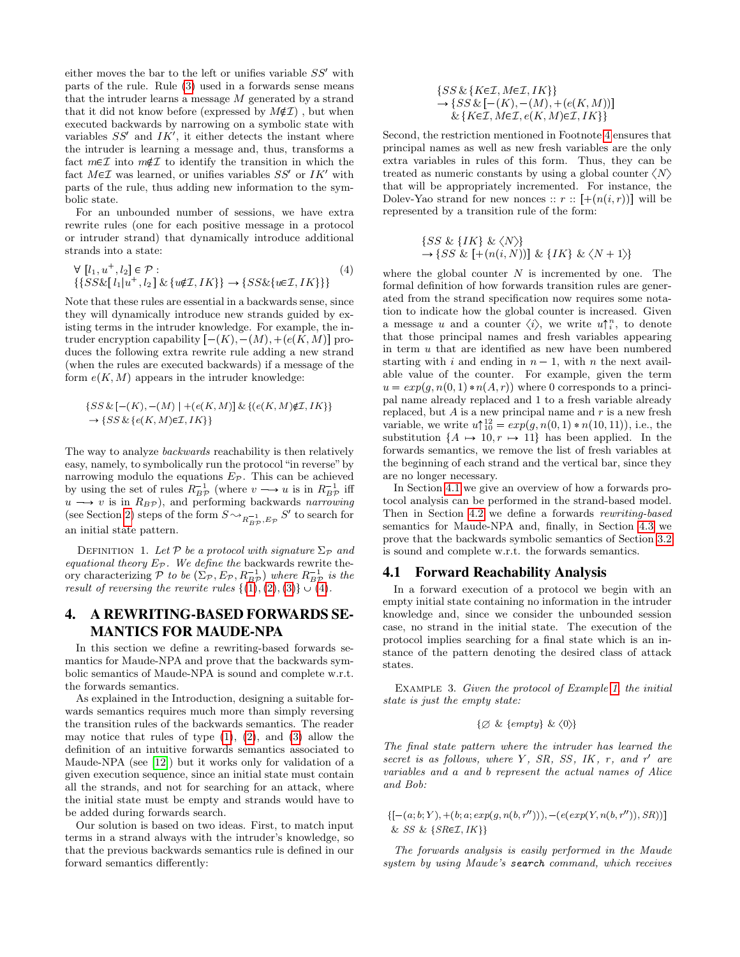either moves the bar to the left or unifies variable  $SS'$  with parts of the rule. Rule [\(3\)](#page-4-3) used in a forwards sense means that the intruder learns a message M generated by a strand that it did not know before (expressed by  $M\notin\mathcal{I}$ ), but when executed backwards by narrowing on a symbolic state with variables  $SS'$  and  $IK'$ , it either detects the instant where the intruder is learning a message and, thus, transforms a fact  $m\epsilon\mathcal{I}$  into  $m\notin\mathcal{I}$  to identify the transition in which the fact  $M \in \mathcal{I}$  was learned, or unifies variables  $SS'$  or  $IK'$  with parts of the rule, thus adding new information to the symbolic state.

For an unbounded number of sessions, we have extra rewrite rules (one for each positive message in a protocol or intruder strand) that dynamically introduce additional strands into a state:

$$
\forall [l_1, u^+, l_2] \in \mathcal{P} : \qquad (4)
$$
  

$$
\{SS\&[l_1|u^+, l_2] \& \{u \notin \mathcal{I}, IK\} \rightarrow \{SS\& \{u \in \mathcal{I}, IK\} \}
$$

Note that these rules are essential in a backwards sense, since they will dynamically introduce new strands guided by existing terms in the intruder knowledge. For example, the intruder encryption capability  $[-(K), -(M), +(e(K, M))]$  produces the following extra rewrite rule adding a new strand (when the rules are executed backwards) if a message of the form  $e(K, M)$  appears in the intruder knowledge:

$$
\begin{aligned} & \{SS\ \& \ [-(K),-(M) \ | \ +\left( e(K,M) \right] \& \ \{ (e(K,M) \notin \mathcal{I} ,IK) \} \\ & \rightarrow \{SS\ \& \ \{ e(K,M) \in \mathcal{I} ,IK \} \} \end{aligned}
$$

The way to analyze *backwards* reachability is then relatively easy, namely, to symbolically run the protocol "in reverse" by narrowing modulo the equations  $E_{\mathcal{P}}$ . This can be achieved by using the set of rules  $R^{-1}_{B\mathcal{P}}$  (where  $v \longrightarrow u$  is in  $R^{-1}_{B\mathcal{P}}$  iff  $u \longrightarrow v$  is in  $R_{B}p$ ), and performing backwards narrowing (see Section [2\)](#page-1-0) steps of the form  $S {\,\sim\,}_{R^{-1}_{BP},E_{\mathcal{P}}} S'$  to search for an initial state pattern.

DEFINITION 1. Let P be a protocol with signature  $\Sigma_{\mathcal{P}}$  and equational theory  $E_{\mathcal{P}}$ . We define the backwards rewrite theory characterizing  $P$  to be  $(\Sigma_{\mathcal{P}}, E_{\mathcal{P}}, R_{BP}^{-1})$  where  $R_{BP}^{-1}$  is the result of reversing the rewrite rules  $\{(1), (2), (3)\}\cup (4)$  $\{(1), (2), (3)\}\cup (4)$  $\{(1), (2), (3)\}\cup (4)$  $\{(1), (2), (3)\}\cup (4)$  $\{(1), (2), (3)\}\cup (4)$  $\{(1), (2), (3)\}\cup (4)$  $\{(1), (2), (3)\}\cup (4)$  $\{(1), (2), (3)\}\cup (4)$ .

## <span id="page-5-0"></span>4. A REWRITING-BASED FORWARDS SE-MANTICS FOR MAUDE-NPA

In this section we define a rewriting-based forwards semantics for Maude-NPA and prove that the backwards symbolic semantics of Maude-NPA is sound and complete w.r.t. the forwards semantics.

As explained in the Introduction, designing a suitable forwards semantics requires much more than simply reversing the transition rules of the backwards semantics. The reader may notice that rules of type  $(1)$ ,  $(2)$ , and  $(3)$  allow the definition of an intuitive forwards semantics associated to Maude-NPA (see [\[12\]](#page-9-4)) but it works only for validation of a given execution sequence, since an initial state must contain all the strands, and not for searching for an attack, where the initial state must be empty and strands would have to be added during forwards search.

Our solution is based on two ideas. First, to match input terms in a strand always with the intruder's knowledge, so that the previous backwards semantics rule is defined in our forward semantics differently:

$$
{SSS & {K \in \mathcal{I}, M \in \mathcal{I}, IK}}\n\rightarrow {SS & [-(K), -(M), +(e(K, M))]}\n\& {K \in \mathcal{I}, M \in \mathcal{I}, e(K, M) \in \mathcal{I}, IK}}
$$

Second, the restriction mentioned in Footnote [4](#page-3-0) ensures that principal names as well as new fresh variables are the only extra variables in rules of this form. Thus, they can be treated as numeric constants by using a global counter  $\langle N \rangle$ that will be appropriately incremented. For instance, the Dolev-Yao strand for new nonces ::  $r$  ::  $[+(n(i,r))]$  will be represented by a transition rule of the form:

> $\{SS \& \{IK\} \& \langle N \rangle\}$  $\rightarrow$  {SS & [+(n(i, N))] & {IK} &  $\langle N+1\rangle$ }

<span id="page-5-2"></span>where the global counter  $N$  is incremented by one. The formal definition of how forwards transition rules are generated from the strand specification now requires some notation to indicate how the global counter is increased. Given a message u and a counter  $\langle i \rangle$ , we write  $u \uparrow_i^n$ , to denote that those principal names and fresh variables appearing in term  $u$  that are identified as new have been numbered starting with i and ending in  $n-1$ , with n the next available value of the counter. For example, given the term  $u = exp(q, n(0, 1) * n(A, r))$  where 0 corresponds to a principal name already replaced and 1 to a fresh variable already replaced, but  $A$  is a new principal name and  $r$  is a new fresh variable, we write  $u\uparrow_{10}^{12} = exp(g, n(0, 1) * n(10, 11)),$  i.e., the substitution  $\{A \mapsto 10, r \mapsto 11\}$  has been applied. In the forwards semantics, we remove the list of fresh variables at the beginning of each strand and the vertical bar, since they are no longer necessary.

In Section [4.1](#page-5-1) we give an overview of how a forwards protocol analysis can be performed in the strand-based model. Then in Section [4.2](#page-6-0) we define a forwards rewriting-based semantics for Maude-NPA and, finally, in Section [4.3](#page-7-0) we prove that the backwards symbolic semantics of Section [3.2](#page-4-0) is sound and complete w.r.t. the forwards semantics.

## <span id="page-5-1"></span>4.1 Forward Reachability Analysis

In a forward execution of a protocol we begin with an empty initial state containing no information in the intruder knowledge and, since we consider the unbounded session case, no strand in the initial state. The execution of the protocol implies searching for a final state which is an instance of the pattern denoting the desired class of attack states.

EXAMPLE 3. Given the protocol of Example [1,](#page-3-2) the initial state is just the empty state:

$$
\{\varnothing \& \{empty\} \& \langle 0 \rangle\}
$$

The final state pattern where the intruder has learned the secret is as follows, where  $Y$ ,  $SR$ ,  $SS$ ,  $IK$ ,  $r$ , and  $r'$  are variables and a and b represent the actual names of Alice and Bob:

 ${[-(a;b; Y), +(b; a; exp(g, n(b, r''))), -(e(exp(Y, n(b, r'')), SR)]]}$ & SS &  $\{SRe\mathcal{I}, IK\}$ 

The forwards analysis is easily performed in the Maude system by using Maude's search command, which receives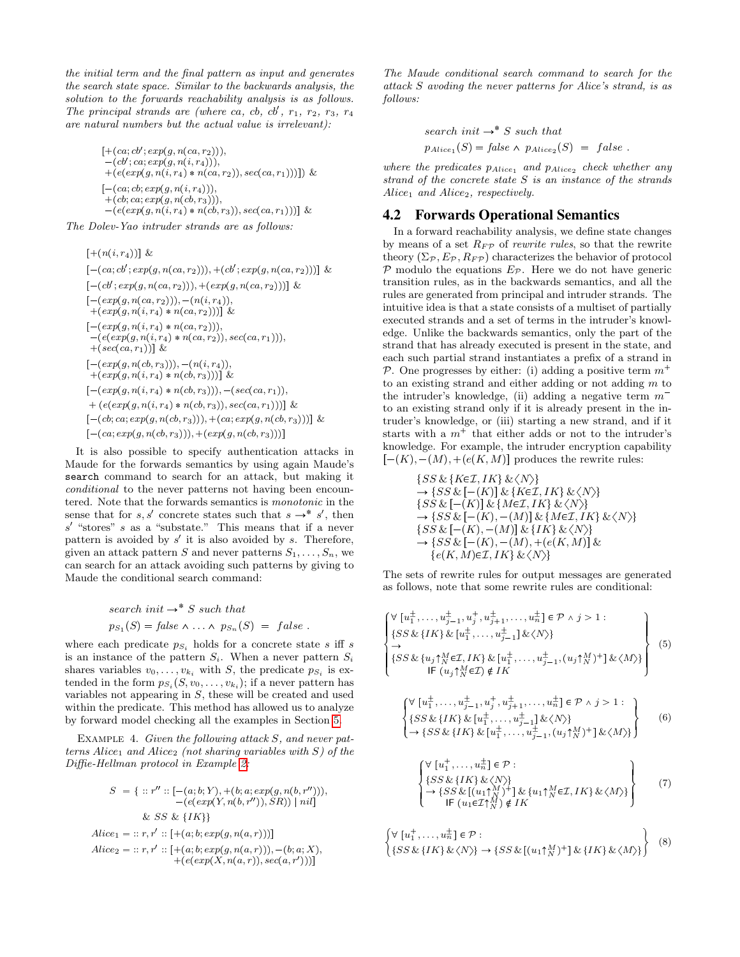the initial term and the final pattern as input and generates the search state space. Similar to the backwards analysis, the solution to the forwards reachability analysis is as follows. The principal strands are (where ca, cb, cb',  $r_1$ ,  $r_2$ ,  $r_3$ ,  $r_4$ are natural numbers but the actual value is irrelevant):

 $[+(ca; cb'; exp(g, n(ca, r<sub>2</sub>))),$  $-(cb'; ca; exp(g, n(i, r<sub>4</sub>))),$  $p + (e(exp(g, n(i, r_4) * n(ca, r_2)), sec(ca, r_1))))$  &  $[-(ca; cb; exp(g, n(i, r<sub>4</sub>))),$  $+(cb; ca; exp(g, n(cb, r<sub>3</sub>))),$  $p = (e(exp(g, n(i, r_4) * n(cb, r_3)), sec(ca, r_1)))$  & The Dolev-Yao intruder strands are as follows:

 $[+(n(i, r_4))]$  &  $[-(ca; cb'; exp(g, n(ca, r_2))), +(cb'; exp(g, n(ca, r_2)))]$  &  $[-(cb'; exp(g, n(ca, r_2))), +(exp(g, n(ca, r_2)))]$  &  $[-(exp(g, n(ca, r_2))), -(n(i, r_4)),$  $p_{\text{max}}(g, n(i, r_4) * n(ca, r_2)))$  &  $[-(exp(g, n(i, r_4) * n(ca, r_2))),$  $p(e(exp(g, n(i, r_4) * n(ca, r_2)), sec(ca, r_1))),$  $+(sec(ca, r_1))$  &  $[-(exp(g, n(cb, r_3))), -(n(i, r_4)),$  $+(exp(g, n(i, r_4) * n(cb, r_3)))$  &  $[-(\exp(g, n(i, r_4)*n(cb, r_3))), -(\sec(ca, r_1)),$  $p_{\text{e}}(e(\exp(g, n(i, r_4) * n(cb, r_3)), \text{sec}(ca, r_1))) \&$  $[-(cb; ca; exp(g, n(cb, r_3))), + (ca; exp(g, n(cb, r_3)))]$  &  $[-(ca, exp(g, n(cb, r_3))), +(exp(g, n(cb, r_3)))]$ 

It is also possible to specify authentication attacks in Maude for the forwards semantics by using again Maude's search command to search for an attack, but making it conditional to the never patterns not having been encountered. Note that the forwards semantics is monotonic in the sense that for  $s, s'$  concrete states such that  $s \to s'$ , then  $s'$  "stores" s as a "substate." This means that if a never pattern is avoided by  $s'$  it is also avoided by  $s$ . Therefore, given an attack pattern S and never patterns  $S_1, \ldots, S_n$ , we can search for an attack avoiding such patterns by giving to Maude the conditional search command:

search init 
$$
\rightarrow
$$
<sup>\*</sup> S such that  
\n $ps_1(S) = false \land ... \land ps_n(S) = false$ .

where each predicate  $p_{S_i}$  holds for a concrete state s iff s is an instance of the pattern  $S_i$ . When a never pattern  $S_i$ shares variables  $v_0, \ldots, v_{k_i}$  with S, the predicate  $p_{S_i}$  is extended in the form  $p_{S_i}(S, v_0, \ldots, v_{k_i})$ ; if a never pattern has variables not appearing in S, these will be created and used within the predicate. This method has allowed us to analyze by forward model checking all the examples in Section [5.](#page-8-0)

EXAMPLE 4. Given the following attack S, and never patterns Alice<sub>1</sub> and Alice<sub>2</sub> (not sharing variables with  $S$ ) of the Diffie-Hellman protocol in Example [2:](#page-3-3)

$$
S = \{ ::r' :: [-(a; b; Y), +(b; a; exp(g, n(b, r'))),-(e(exp(Y, n(b, r'')), SR)) | nil] & SS & \{IK\} \}
$$
  
Alice<sub>1</sub> = :: r, r' :: [+(a; b; exp(g, n(a, r)))]  
Alice<sub>2</sub> = :: r, r' :: [+(a; b; exp(g, n(a, r))), -(b; a; X),  
+(e(exp(X, n(a, r)), sec(a, r')))]

The Maude conditional search command to search for the attack S avoding the never patterns for Alice's strand, is as follows:

search init 
$$
\rightarrow
$$
<sup>\*</sup> S such that  
\n $p_{Alice_1}(S) = false \land p_{Alice_2}(S) = false$ .

where the predicates  $p_{Alice_1}$  and  $p_{Alice_2}$  check whether any strand of the concrete state  $S$  is an instance of the strands  $Alice<sub>1</sub>$  and  $Alice<sub>2</sub>$ , respectively.

## <span id="page-6-0"></span>4.2 Forwards Operational Semantics

In a forward reachability analysis, we define state changes by means of a set  $R_F \rho$  of *rewrite rules*, so that the rewrite theory  $(\Sigma_{\mathcal{P}}, E_{\mathcal{P}}, R_{F\mathcal{P}})$  characterizes the behavior of protocol  $P$  modulo the equations  $E_P$ . Here we do not have generic transition rules, as in the backwards semantics, and all the rules are generated from principal and intruder strands. The intuitive idea is that a state consists of a multiset of partially executed strands and a set of terms in the intruder's knowledge. Unlike the backwards semantics, only the part of the strand that has already executed is present in the state, and each such partial strand instantiates a prefix of a strand in P. One progresses by either: (i) adding a positive term  $m^+$ to an existing strand and either adding or not adding m to the intruder's knowledge, (ii) adding a negative term  $m^$ to an existing strand only if it is already present in the intruder's knowledge, or (iii) starting a new strand, and if it starts with a  $m<sup>+</sup>$  that either adds or not to the intruder's knowledge. For example, the intruder encryption capability  $[-(K), -(M), +(e(K, M)]$  produces the rewrite rules:

$$
\{SS & \{K\in\mathcal{I}, IK\} \& \langle N \rangle\} \rightarrow \{SS & \left[-(K)\right] \& \{K\in\mathcal{I}, IK\} \& \langle N \rangle\} \quad \{SS & \left[-(K)\right] \& \{K\in\mathcal{I}, IK\} \& \langle N \rangle\} \quad \{SS & \left[-(K)\right] \& \{M\in\mathcal{I}, IK\} \& \langle N \rangle\} \rightarrow \{SS & \left[-(K), -(M)\right] \& \{M\in\mathcal{I}, IK\} \& \langle N \rangle\} \quad \{SS & \left[-(K), -(M)\right] \& \{IK\} \& \langle N \rangle\} \rightarrow \{SS & \left[-(K), -(M), + (e(K, M))\right] \& \{e(K, M)\in\mathcal{I}, IK\} \& \langle N \rangle\}
$$

The sets of rewrite rules for output messages are generated as follows, note that some rewrite rules are conditional:

$$
\begin{cases}\n\forall \left[u_1^{\pm}, \ldots, u_{j-1}^{\pm}, u_j^{\pm}, u_{j+1}^{\pm}, \ldots, u_n^{\pm}\right] \in \mathcal{P} \land j > 1: \\
\{SS \& \{IK\} \& \left[u_1^{\pm}, \ldots, u_{j-1}^{\pm}\right] \& \langle N \rangle\} \\
\rightarrow \\
\{SS \& \{u_j\}_{N}^{M} \in \mathcal{I}, IK\} \& \left[u_1^{\pm}, \ldots, u_{j-1}^{\pm}, (u_j \uparrow_N^M)^{+}\right] \& \langle M \rangle\} \\
\left.\left.\begin{matrix} \text{I} & \text{II} & \text{II} & \text{II} & \text{II} \\ \text{II} & \text{II} & \text{II} & \text{II} & \text{II} & \text{II} \end{matrix}\right\}\n\end{cases} \tag{5}
$$

<span id="page-6-1"></span>
$$
\begin{cases}\n\forall \left[ u_1^{\pm}, \dots, u_{j-1}^{\pm}, u_j^{\pm}, u_{j+1}^{\pm}, \dots, u_n^{\pm} \right] \in \mathcal{P} \land j > 1: \\
\{SS \& \{IK\} \& \left[ u_1^{\pm}, \dots, u_{j-1}^{\pm} \right] \& \langle N \rangle \} \\
\rightarrow \{SS \& \{IK\} \& \left[ u_1^{\pm}, \dots, u_{j-1}^{\pm}, (u_j \uparrow_N^M)^+ \right] \& \langle M \rangle \}\n\end{cases} \tag{6}
$$

<span id="page-6-4"></span><span id="page-6-3"></span><span id="page-6-2"></span>
$$
\begin{cases}\n\forall \left[ u_1^+, \ldots, u_n^+ \right] \in \mathcal{P} : \\
\{ SS \& \{IK\} \& \langle N \rangle \} \\
\rightarrow \{ SS \& \left[ (u_1 \uparrow_{N}^{M})^+ \right] \& \{ u_1 \uparrow_{N}^{M} \in \mathcal{I}, IK \} \& \langle M \rangle \} \\
\left[ \mathsf{IF} \left( u_1 \in \mathcal{I} \uparrow_{N}^{M} \right) \notin IK\n\end{cases} \tag{7}
$$

$$
\begin{cases}\n\forall \left[u_1^+,\ldots,u_n^+\right] \in \mathcal{P} : \\
\{SS \& \{IK\} \& \langle N \rangle\} \to \{SS \& \left[(u_1 \uparrow_N^M)^+\right] \& \{IK\} \& \langle M \rangle\}\n\end{cases}
$$
\n(8)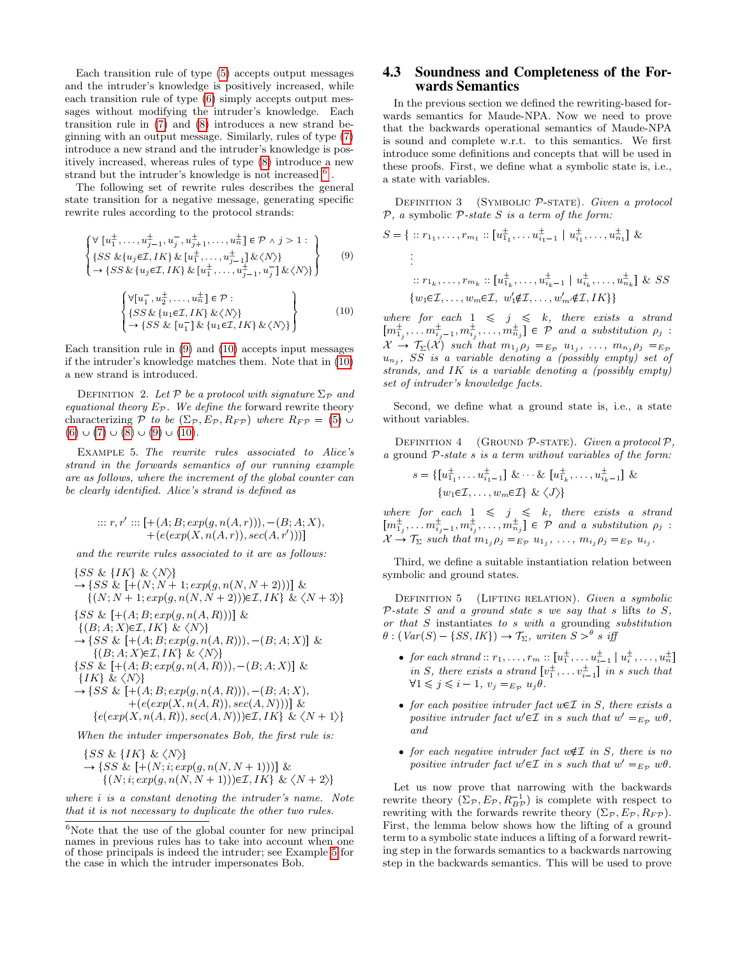Each transition rule of type [\(5\)](#page-6-1) accepts output messages and the intruder's knowledge is positively increased, while each transition rule of type [\(6\)](#page-6-2) simply accepts output messages without modifying the intruder's knowledge. Each transition rule in [\(7\)](#page-6-3) and [\(8\)](#page-6-4) introduces a new strand beginning with an output message. Similarly, rules of type [\(7\)](#page-6-3) introduce a new strand and the intruder's knowledge is positively increased, whereas rules of type [\(8\)](#page-6-4) introduce a new strand but the intruder's knowledge is not increased  $^6$  $^6$  .

The following set of rewrite rules describes the general state transition for a negative message, generating specific rewrite rules according to the protocol strands:

$$
\begin{cases}\n\forall \left[ u_1^{\pm}, \dots, u_{j-1}^{\pm}, u_j^{-}, u_{j+1}^{\pm}, \dots, u_n^{\pm} \right] \in \mathcal{P} \land j > 1: \\
\{ SS \& \{u_j \in \mathcal{I}, IK\} \& \left[ u_1^{\pm}, \dots, u_{j-1}^{\pm} \right] \& \langle N \rangle \} \\
\rightarrow \{ SS \& \{u_j \in \mathcal{I}, IK\} \& \left[ u_1^{\pm}, \dots, u_{j-1}^{\pm}, u_j^{-} \right] \& \langle N \rangle \}\n\end{cases}
$$
\n(9)

$$
\begin{Bmatrix}\n\forall [u_1^-, u_2^+, \dots, u_n^+] \in \mathcal{P}: \\
\{SS \& \{u_1 \in \mathcal{I}, IK\} \& \langle N \rangle\} \\
\rightarrow \{SS \& \left[u_1^- \right] \& \{u_1 \in \mathcal{I}, IK\} \& \langle N \rangle\}\n\end{Bmatrix}
$$
\n(10)

Each transition rule in [\(9\)](#page-7-2) and [\(10\)](#page-7-3) accepts input messages if the intruder's knowledge matches them. Note that in [\(10\)](#page-7-3) a new strand is introduced.

DEFINITION 2. Let P be a protocol with signature  $\Sigma_{\mathcal{P}}$  and equational theory  $E_{\mathcal{P}}$ . We define the forward rewrite theory characterizing P to be  $(\Sigma_{\mathcal{P}}, E_{\mathcal{P}}, R_{F\mathcal{P}})$  where  $R_{F\mathcal{P}} = (5) \cup$  $R_{F\mathcal{P}} = (5) \cup$  $R_{F\mathcal{P}} = (5) \cup$  $(6) \cup (7) \cup (8) \cup (9) \cup (10).$  $(6) \cup (7) \cup (8) \cup (9) \cup (10).$  $(6) \cup (7) \cup (8) \cup (9) \cup (10).$  $(6) \cup (7) \cup (8) \cup (9) \cup (10).$  $(6) \cup (7) \cup (8) \cup (9) \cup (10).$  $(6) \cup (7) \cup (8) \cup (9) \cup (10).$  $(6) \cup (7) \cup (8) \cup (9) \cup (10).$  $(6) \cup (7) \cup (8) \cup (9) \cup (10).$  $(6) \cup (7) \cup (8) \cup (9) \cup (10).$  $(6) \cup (7) \cup (8) \cup (9) \cup (10).$ 

<span id="page-7-4"></span>Example 5. The rewrite rules associated to Alice's strand in the forwards semantics of our running example are as follows, where the increment of the global counter can be clearly identified. Alice's strand is defined as

$$
::: r, r' :: [+(A; B; exp(g, n(A, r))), -(B; A; X),+(e(exp(X, n(A, r)), sec(A, r')))]
$$

and the rewrite rules associated to it are as follows:

 $\{SS \& \{IK\} \& \langle N \rangle\}$  $\rightarrow \{SS \& [+(N; N + 1; exp(g, n(N, N + 2)))] \&$  $\{(N; N+1; exp(g, n(N, N+2)))\in\mathcal{I}, IK\} \& \langle N+3\rangle\}$  $\{SS \& [+(A; B; exp(g, n(A, R)))] \&$  $\{(B; A; X) \in \mathcal{I}, IK\} \& \langle N \rangle\}$  $\rightarrow$  {SS & [+(A; B; exp(g, n(A, R))), -(B; A; X)] &  $\{(B; A; X) \in \mathcal{I}, IK\} \& \langle N \rangle\}$ { $SS \& [+(A; B; exp(g, n(A, R))), -(B; A; X)] \&$  $\{IK\} \& \langle N \rangle\}$ → {SS &  $[+(A; B; exp(g, n(A, R))), -(B; A; X),$  $+(e(exp(X, n(A, R)), sec(A, N)))$  &  $\{e(exp(X, n(A, R)), sec(A, N))) \in \mathcal{I}, IK\} \& \langle N+1 \rangle\}$ When the intuder impersonates Bob, the first rule is:

 $\{SS \& \{IK\} \& \langle N \rangle\}$  $\rightarrow \{SS \& \left[+(N;i; \exp(g,n(N,N+1)))\right] \&$  $\{(N;i; exp(g, n(N, N + 1))) \in \mathcal{I}, IK\} \& \langle N + 2 \rangle\}$ 

where i is a constant denoting the intruder's name. Note that it is not necessary to duplicate the other two rules.

#### <span id="page-7-0"></span>4.3 Soundness and Completeness of the Forwards Semantics

In the previous section we defined the rewriting-based forwards semantics for Maude-NPA. Now we need to prove that the backwards operational semantics of Maude-NPA is sound and complete w.r.t. to this semantics. We first introduce some definitions and concepts that will be used in these proofs. First, we define what a symbolic state is, i.e., a state with variables.

DEFINITION 3 (SYMBOLIC  $P$ -STATE). Given a protocol  $P$ , a symbolic  $P$ -state S is a term of the form:

<span id="page-7-2"></span>
$$
S = \{ :: r_{1_1}, \dots, r_{m_1} :: [u_{1_1}^{\pm}, \dots, u_{i_1-1}^{\pm} \mid u_{i_1}^{\pm}, \dots, u_{n_1}^{\pm}] \&
$$
  
\n
$$
\vdots
$$
  
\n
$$
:: r_{1_k}, \dots, r_{m_k} :: [u_{1_k}^{\pm}, \dots, u_{i_k-1}^{\pm} \mid u_{i_k}^{\pm}, \dots, u_{n_k}^{\pm}] \& SS
$$
  
\n
$$
\{w_1 \in \mathcal{I}, \dots, w_m \in \mathcal{I}, w_1' \notin \mathcal{I}, \dots, w_m' \notin \mathcal{I}, IK\}
$$

<span id="page-7-3"></span>where for each  $1 \leq j \leq k$ , there exists a strand  $[m_{1_j}^{\pm}, \ldots m_{i_j-1}^{\pm}, m_{i_j}^{\pm}, \ldots, m_{n_j}^{\pm}] \in \mathcal{P}$  and a substitution  $\rho_j$ :  $\mathcal{X} \to \mathcal{T}_{\Sigma}(\mathcal{X})$  such that  $m_{1j} \rho_j =_{E_{\mathcal{P}}} u_{1j}, \ldots, m_{n_j} \rho_j =_{E_{\mathcal{P}}}$  $u_{n_j}$ , SS is a variable denoting a (possibly empty) set of strands, and IK is a variable denoting a (possibly empty) set of intruder's knowledge facts.

Second, we define what a ground state is, i.e., a state without variables.

DEFINITION 4 (GROUND P-STATE). Given a protocol  $P$ , a ground P-state s is a term without variables of the form:

$$
s = \{ [u_{1_1}^{\pm}, \dots u_{i_1-1}^{\pm}] \& \cdots \& [u_{1_k}^{\pm}, \dots, u_{i_k-1}^{\pm}] \& \{w_1 \in \mathcal{I}, \dots, w_m \in \mathcal{I} \} \& \langle J \rangle \}
$$

where for each  $1 \leq j \leq k$ , there exists a strand  $[m_{1_j}^{\pm}, \ldots m_{i_j-1}^{\pm}, m_{i_j}^{\pm}, \ldots, m_{n_j}^{\pm}] \in \mathcal{P}$  and a substitution  $\rho_j$ :  $\mathcal{X} \to \mathcal{T}_{\Sigma}$  such that  $m_{1_j} \rho_j =_{E_{\mathcal{P}}} u_{1_j}, \ldots, m_{i_j} \rho_j =_{E_{\mathcal{P}}} u_{i_j}.$ 

Third, we define a suitable instantiation relation between symbolic and ground states.

DEFINITION 5 (LIFTING RELATION). Given a symbolic  $P-state S$  and a ground state s we say that s lifts to S, or that S instantiates to s with a grounding substitution  $\theta$ :  $(Var(S) - \{SS, IK\}) \rightarrow \mathcal{T}_{\Sigma}$ , writen  $S >^{\theta} s$  iff

- for each strand ::  $r_1, \ldots, r_m$  ::  $[u_1^{\pm}, \ldots, u_{i-1}^{\pm} | u_i^{\pm}, \ldots, u_n^{\pm}]$ in S, there exists a strand  $[v_1^{\pm}, \ldots v_{i-1}^{\pm}]$  in s such that  $\forall 1 \leq j \leq i-1, v_j =_{E_{\mathcal{P}}} u_j \theta.$
- for each positive intruder fact  $w \in \mathcal{I}$  in S, there exists a positive intruder fact  $w' \in \mathcal{I}$  in s such that  $w' =_{E_{\mathcal{P}}} w\theta$ , and
- for each negative intruder fact  $w \notin \mathcal{I}$  in S, there is no positive intruder fact  $w' \in \mathcal{I}$  in s such that  $w' =_{E_{\mathcal{P}}} w\theta$ .

Let us now prove that narrowing with the backwards rewrite theory  $(\Sigma_{\mathcal{P}}, E_{\mathcal{P}}, R_{B\mathcal{P}}^{-1})$  is complete with respect to rewriting with the forwards rewrite theory  $(\Sigma_{\mathcal{P}}, E_{\mathcal{P}}, R_{F\mathcal{P}})$ . First, the lemma below shows how the lifting of a ground term to a symbolic state induces a lifting of a forward rewriting step in the forwards semantics to a backwards narrowing step in the backwards semantics. This will be used to prove

<span id="page-7-1"></span> $^6\rm{Note}$  that the use of the global counter for new principal names in previous rules has to take into account when one of those principals is indeed the intruder; see Example [5](#page-7-4) for the case in which the intruder impersonates Bob.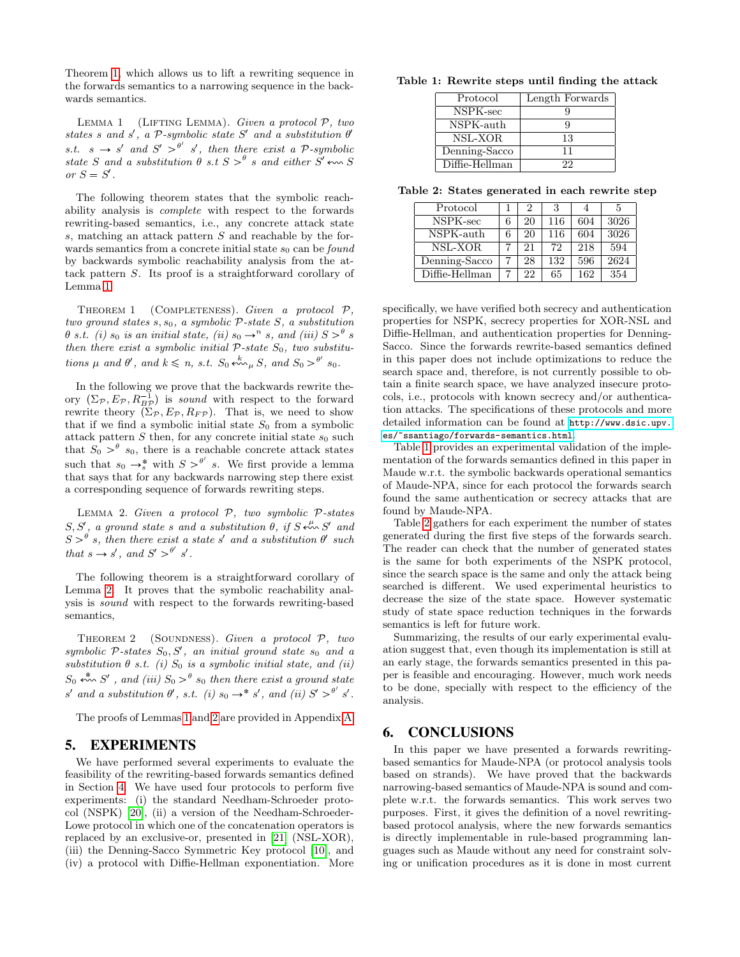Theorem [1,](#page-8-2) which allows us to lift a rewriting sequence in the forwards semantics to a narrowing sequence in the backwards semantics.

<span id="page-8-3"></span>LEMMA 1 (LIFTING LEMMA). Given a protocol  $P$ , two states s and s', a  $P$ -symbolic state S' and a substitution  $\theta'$ s.t.  $s \to s'$  and  $S' >^{\theta'} s'$ , then there exist a P-symbolic state S and a substitution  $\theta$  s.t  $S > \theta$  s and either S'  $\leftrightarrow$  S or  $S = S'$ .

The following theorem states that the symbolic reachability analysis is complete with respect to the forwards rewriting-based semantics, i.e., any concrete attack state s, matching an attack pattern S and reachable by the forwards semantics from a concrete initial state  $s_0$  can be *found* by backwards symbolic reachability analysis from the attack pattern S. Its proof is a straightforward corollary of Lemma [1.](#page-8-3)

<span id="page-8-2"></span>THEOREM 1 (COMPLETENESS). Given a protocol  $P$ , two ground states  $s, s_0$ , a symbolic  $P$ -state  $S$ , a substitution  $\theta$  s.t. (i) s<sub>0</sub> is an initial state, (ii) s<sub>0</sub>  $\rightarrow$ <sup>n</sup> s, and (iii)  $S > \theta$  s then there exist a symbolic initial  $P$ -state  $S_0$ , two substitutions  $\mu$  and  $\theta'$ , and  $k \leq n$ , s.t.  $S_0 \stackrel{k}{\longleftarrow} \mu S$ , and  $S_0 >^{\theta'} s_0$ .

In the following we prove that the backwards rewrite theory  $(\Sigma_{\mathcal{P}}, E_{\mathcal{P}}, R_{BP}^{-1})$  is sound with respect to the forward rewrite theory  $(\Sigma_{\mathcal{P}}, E_{\mathcal{P}}, R_{F\mathcal{P}})$ . That is, we need to show that if we find a symbolic initial state  $S_0$  from a symbolic attack pattern  $S$  then, for any concrete initial state  $s_0$  such that  $S_0 > \theta$  s<sub>0</sub>, there is a reachable concrete attack states such that  $s_0 \rightarrow_s^*$  with  $S >^{\theta'} s$ . We first provide a lemma that says that for any backwards narrowing step there exist a corresponding sequence of forwards rewriting steps.

<span id="page-8-4"></span>LEMMA 2. Given a protocol  $P$ , two symbolic  $P$ -states  $S, S',$  a ground state s and a substitution  $\theta$ , if  $S \stackrel{\mu}{\leftarrow} S'$  and  $S >^{\theta} s$ , then there exist a state s' and a substitution  $\theta'$  such that  $s \to s'$ , and  $S' >^{\theta'} s'$ .

The following theorem is a straightforward corollary of Lemma [2.](#page-8-4) It proves that the symbolic reachability analysis is sound with respect to the forwards rewriting-based semantics,

THEOREM 2 (SOUNDNESS). Given a protocol  $P$ , two symbolic  $P$ -states  $S_0, S'$ , an initial ground state  $s_0$  and a substitution  $\theta$  s.t. (i)  $S_0$  is a symbolic initial state, and (ii)  $S_0$   $\stackrel{*}{\leftarrow}$   $S'$ , and (iii)  $S_0 >^{\theta} s_0$  then there exist a ground state s' and a substitution  $\theta'$ , s.t. (i)  $s_0 \rightarrow^* s'$ , and (ii)  $S' >^{\theta'} s'$ .

The proofs of Lemmas [1](#page-8-3) and [2](#page-8-4) are provided in Appendix [A.](#page-10-0)

## <span id="page-8-0"></span>5. EXPERIMENTS

We have performed several experiments to evaluate the feasibility of the rewriting-based forwards semantics defined in Section [4.](#page-5-0) We have used four protocols to perform five experiments: (i) the standard Needham-Schroeder protocol (NSPK) [\[20\]](#page-9-19), (ii) a version of the Needham-Schroeder-Lowe protocol in which one of the concatenation operators is replaced by an exclusive-or, presented in [\[21\]](#page-9-20) (NSL-XOR), (iii) the Denning-Sacco Symmetric Key protocol [\[10\]](#page-9-21), and (iv) a protocol with Diffie-Hellman exponentiation. More

#### <span id="page-8-5"></span>Table 1: Rewrite steps until finding the attack

| Protocol       | Length Forwards |
|----------------|-----------------|
| NSPK-sec       |                 |
| NSPK-auth      | Q               |
| NSL-XOR        | 13              |
| Denning-Sacco  | 11              |
| Diffie-Hellman | 99              |

<span id="page-8-6"></span>Table 2: States generated in each rewrite step

| Protocol                       | 2  | 3   |     | 5    |
|--------------------------------|----|-----|-----|------|
| NSPK-sec                       | 20 | 116 | 604 | 3026 |
| $\overline{\text{NSPK}}$ -auth | 20 | 116 | 604 | 3026 |
| $\overline{\text{NSL-XOR}}$    | 21 | 72  | 218 | 594  |
| Denning-Sacco                  | 28 | 132 | 596 | 2624 |
| Diffie-Hellman                 | 22 | 65  | 162 | 354  |

specifically, we have verified both secrecy and authentication properties for NSPK, secrecy properties for XOR-NSL and Diffie-Hellman, and authentication properties for Denning-Sacco. Since the forwards rewrite-based semantics defined in this paper does not include optimizations to reduce the search space and, therefore, is not currently possible to obtain a finite search space, we have analyzed insecure protocols, i.e., protocols with known secrecy and/or authentication attacks. The specifications of these protocols and more detailed information can be found at [http://www.dsic.upv.](http://www.dsic.upv.es/~ssantiago/forwards-semantics.html) [es/~ssantiago/forwards-semantics.html](http://www.dsic.upv.es/~ssantiago/forwards-semantics.html).

Table [1](#page-8-5) provides an experimental validation of the implementation of the forwards semantics defined in this paper in Maude w.r.t. the symbolic backwards operational semantics of Maude-NPA, since for each protocol the forwards search found the same authentication or secrecy attacks that are found by Maude-NPA.

Table [2](#page-8-6) gathers for each experiment the number of states generated during the first five steps of the forwards search. The reader can check that the number of generated states is the same for both experiments of the NSPK protocol, since the search space is the same and only the attack being searched is different. We used experimental heuristics to decrease the size of the state space. However systematic study of state space reduction techniques in the forwards semantics is left for future work.

Summarizing, the results of our early experimental evaluation suggest that, even though its implementation is still at an early stage, the forwards semantics presented in this paper is feasible and encouraging. However, much work needs to be done, specially with respect to the efficiency of the analysis.

#### <span id="page-8-1"></span>6. CONCLUSIONS

In this paper we have presented a forwards rewritingbased semantics for Maude-NPA (or protocol analysis tools based on strands). We have proved that the backwards narrowing-based semantics of Maude-NPA is sound and complete w.r.t. the forwards semantics. This work serves two purposes. First, it gives the definition of a novel rewritingbased protocol analysis, where the new forwards semantics is directly implementable in rule-based programming languages such as Maude without any need for constraint solving or unification procedures as it is done in most current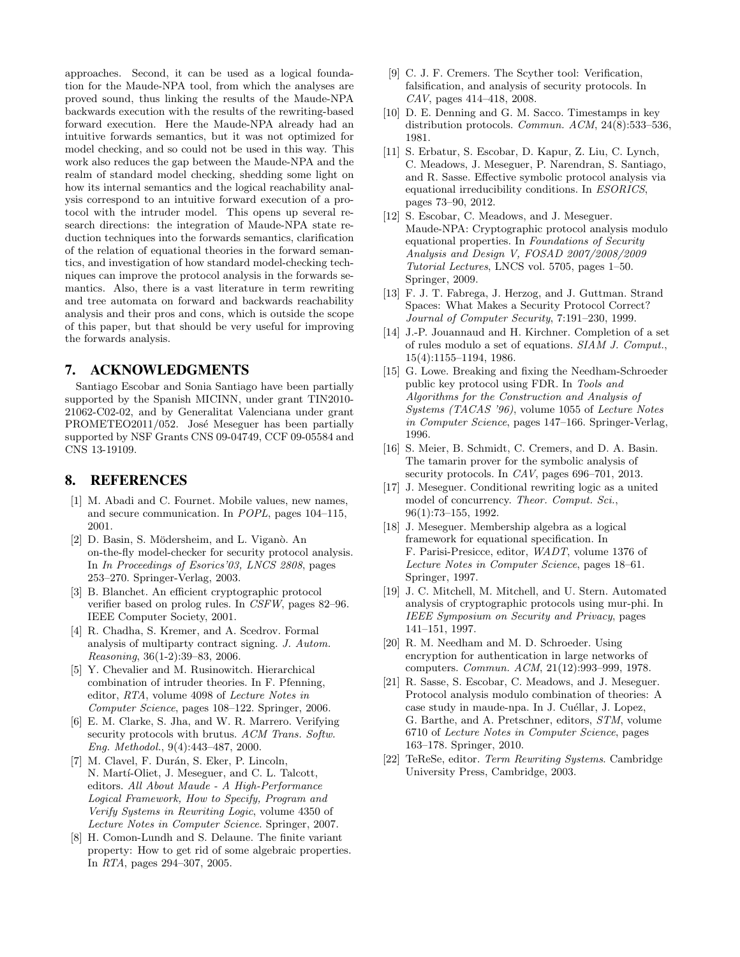approaches. Second, it can be used as a logical foundation for the Maude-NPA tool, from which the analyses are proved sound, thus linking the results of the Maude-NPA backwards execution with the results of the rewriting-based forward execution. Here the Maude-NPA already had an intuitive forwards semantics, but it was not optimized for model checking, and so could not be used in this way. This work also reduces the gap between the Maude-NPA and the realm of standard model checking, shedding some light on how its internal semantics and the logical reachability analysis correspond to an intuitive forward execution of a protocol with the intruder model. This opens up several research directions: the integration of Maude-NPA state reduction techniques into the forwards semantics, clarification of the relation of equational theories in the forward semantics, and investigation of how standard model-checking techniques can improve the protocol analysis in the forwards semantics. Also, there is a vast literature in term rewriting and tree automata on forward and backwards reachability analysis and their pros and cons, which is outside the scope of this paper, but that should be very useful for improving the forwards analysis.

## 7. ACKNOWLEDGMENTS

Santiago Escobar and Sonia Santiago have been partially supported by the Spanish MICINN, under grant TIN2010- 21062-C02-02, and by Generalitat Valenciana under grant PROMETEO2011/052. José Meseguer has been partially supported by NSF Grants CNS 09-04749, CCF 09-05584 and CNS 13-19109.

## 8. REFERENCES

- <span id="page-9-11"></span>[1] M. Abadi and C. Fournet. Mobile values, new names, and secure communication. In POPL, pages 104–115, 2001.
- <span id="page-9-5"></span>[2] D. Basin, S. Mödersheim, and L. Viganò. An on-the-fly model-checker for security protocol analysis. In In Proceedings of Esorics'03, LNCS 2808, pages 253–270. Springer-Verlag, 2003.
- <span id="page-9-3"></span>[3] B. Blanchet. An efficient cryptographic protocol verifier based on prolog rules. In CSFW, pages 82–96. IEEE Computer Society, 2001.
- <span id="page-9-10"></span>[4] R. Chadha, S. Kremer, and A. Scedrov. Formal analysis of multiparty contract signing. J. Autom. Reasoning, 36(1-2):39–83, 2006.
- <span id="page-9-14"></span>[5] Y. Chevalier and M. Rusinowitch. Hierarchical combination of intruder theories. In F. Pfenning, editor, RTA, volume 4098 of Lecture Notes in Computer Science, pages 108–122. Springer, 2006.
- <span id="page-9-2"></span>[6] E. M. Clarke, S. Jha, and W. R. Marrero. Verifying security protocols with brutus. ACM Trans. Softw. Eng. Methodol., 9(4):443–487, 2000.
- <span id="page-9-12"></span>[7] M. Clavel, F. Durán, S. Eker, P. Lincoln, N. Martí-Oliet, J. Meseguer, and C. L. Talcott, editors. All About Maude - A High-Performance Logical Framework, How to Specify, Program and Verify Systems in Rewriting Logic, volume 4350 of Lecture Notes in Computer Science. Springer, 2007.
- <span id="page-9-8"></span>[8] H. Comon-Lundh and S. Delaune. The finite variant property: How to get rid of some algebraic properties. In RTA, pages 294–307, 2005.
- <span id="page-9-6"></span>[9] C. J. F. Cremers. The Scyther tool: Verification, falsification, and analysis of security protocols. In CAV, pages 414–418, 2008.
- <span id="page-9-21"></span>[10] D. E. Denning and G. M. Sacco. Timestamps in key distribution protocols. Commun. ACM, 24(8):533–536, 1981.
- <span id="page-9-9"></span>[11] S. Erbatur, S. Escobar, D. Kapur, Z. Liu, C. Lynch, C. Meadows, J. Meseguer, P. Narendran, S. Santiago, and R. Sasse. Effective symbolic protocol analysis via equational irreducibility conditions. In ESORICS, pages 73–90, 2012.
- <span id="page-9-4"></span>[12] S. Escobar, C. Meadows, and J. Meseguer. Maude-NPA: Cryptographic protocol analysis modulo equational properties. In Foundations of Security Analysis and Design V, FOSAD 2007/2008/2009 Tutorial Lectures, LNCS vol. 5705, pages 1–50. Springer, 2009.
- <span id="page-9-13"></span>[13] F. J. T. Fabrega, J. Herzog, and J. Guttman. Strand Spaces: What Makes a Security Protocol Correct? Journal of Computer Security, 7:191–230, 1999.
- <span id="page-9-18"></span>[14] J.-P. Jouannaud and H. Kirchner. Completion of a set of rules modulo a set of equations. SIAM J. Comput., 15(4):1155–1194, 1986.
- <span id="page-9-0"></span>[15] G. Lowe. Breaking and fixing the Needham-Schroeder public key protocol using FDR. In Tools and Algorithms for the Construction and Analysis of Systems (TACAS '96), volume 1055 of Lecture Notes in Computer Science, pages 147–166. Springer-Verlag, 1996.
- <span id="page-9-7"></span>[16] S. Meier, B. Schmidt, C. Cremers, and D. A. Basin. The tamarin prover for the symbolic analysis of security protocols. In CAV, pages 696–701, 2013.
- <span id="page-9-16"></span>[17] J. Meseguer. Conditional rewriting logic as a united model of concurrency. Theor. Comput. Sci., 96(1):73–155, 1992.
- <span id="page-9-17"></span>[18] J. Meseguer. Membership algebra as a logical framework for equational specification. In F. Parisi-Presicce, editor, WADT, volume 1376 of Lecture Notes in Computer Science, pages 18–61. Springer, 1997.
- <span id="page-9-1"></span>[19] J. C. Mitchell, M. Mitchell, and U. Stern. Automated analysis of cryptographic protocols using mur-phi. In IEEE Symposium on Security and Privacy, pages 141–151, 1997.
- <span id="page-9-19"></span>[20] R. M. Needham and M. D. Schroeder. Using encryption for authentication in large networks of computers. Commun. ACM, 21(12):993–999, 1978.
- <span id="page-9-20"></span>[21] R. Sasse, S. Escobar, C. Meadows, and J. Meseguer. Protocol analysis modulo combination of theories: A case study in maude-npa. In J. Cuéllar, J. Lopez, G. Barthe, and A. Pretschner, editors, STM, volume 6710 of Lecture Notes in Computer Science, pages 163–178. Springer, 2010.
- <span id="page-9-15"></span>[22] TeReSe, editor. Term Rewriting Systems. Cambridge University Press, Cambridge, 2003.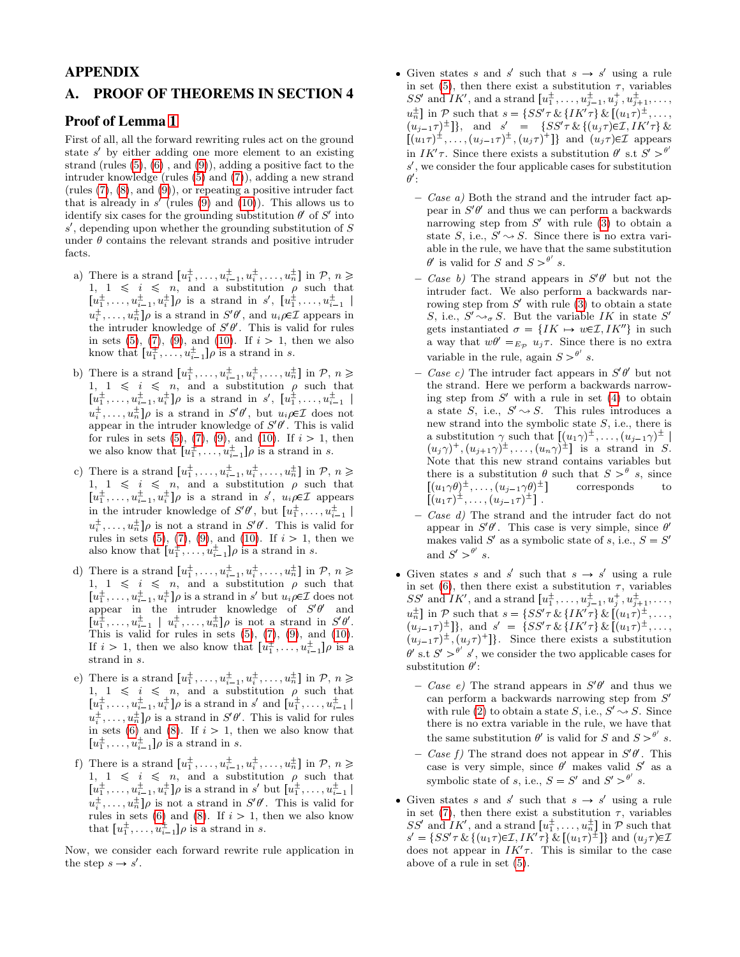## APPENDIX

## <span id="page-10-0"></span>A. PROOF OF THEOREMS IN SECTION 4

## Proof of Lemma [1](#page-8-3)

First of all, all the forward rewriting rules act on the ground state s' by either adding one more element to an existing strand (rules [\(5\)](#page-6-1), [\(6\)](#page-6-2) , and [\(9\)](#page-7-2)), adding a positive fact to the intruder knowledge (rules [\(5\)](#page-6-1) and [\(7\)](#page-6-3)), adding a new strand (rules  $(7)$ ,  $(8)$ , and  $(9)$ ), or repeating a positive intruder fact that is already in  $s'$  (rules [\(9\)](#page-7-2) and [\(10\)](#page-7-3)). This allows us to identify six cases for the grounding substitution  $\theta'$  of  $S'$  into  $s'$ , depending upon whether the grounding substitution of  $S$ under  $\theta$  contains the relevant strands and positive intruder facts.

- a) There is a strand  $[u_1^{\pm}, \ldots, u_{i-1}^{\pm}, u_i^{\pm}, \ldots, u_n^{\pm}]$  in  $\mathcal{P}, n \geq$ 1, 1  $\leq i \leq n$ , and a substitution  $\rho$  such that  $[u_1^{\pm}, \ldots, u_{i-1}^{\pm}, u_i^{\pm}]\rho$  is a strand in s',  $[u_1^{\pm}, \ldots, u_{i-1}^{\pm}]$  $u_i^{\pm}, \ldots, u_n^{\pm}$ ] $\rho$  is a strand in  $S' \theta'$ , and  $u_i \rho \in \mathcal{I}$  appears in the intruder knowledge of  $S'\theta'$ . This is valid for rules in sets [\(5\)](#page-6-1), [\(7\)](#page-6-3), [\(9\)](#page-7-2), and [\(10\)](#page-7-3). If  $i > 1$ , then we also know that  $[u_1^{\pm}, \ldots, u_{i-1}^{\pm}]$   $\rho$  is a strand in *s*.
- b) There is a strand  $[u_1^{\pm}, \ldots, u_{i-1}^{\pm}, u_i^{\pm}, \ldots, u_n^{\pm}]$  in  $\mathcal{P}, n \geq$ 1, 1  $\leq i \leq n$ , and a substitution  $\rho$  such that  $[u_1^{\pm}, \ldots, u_{i-1}^{\pm}, u_i^{\pm}] \rho$  is a strand in s',  $[u_1^{\pm}, \ldots, u_{i-1}^{\pm}]$  $u_i^{\pm}, \ldots, u_n^{\pm}$ ] $\rho$  is a strand in  $S' \theta'$ , but  $u_i \rho \in \mathcal{I}$  does not appear in the intruder knowledge of  $S'\theta'$ . This is valid for rules in sets [\(5\)](#page-6-1), [\(7\)](#page-6-3), [\(9\)](#page-7-2), and [\(10\)](#page-7-3). If  $i > 1$ , then we also know that  $[u_1^{\pm}, \ldots, u_{i-1}^{\pm}]$   $\rho$  is a strand in *s*.
- c) There is a strand  $[u_1^{\pm}, \ldots, u_{i-1}^{\pm}, u_i^{\pm}, \ldots, u_n^{\pm}]$  in  $\mathcal{P}, n \geq$ 1, 1  $\leq i \leq n$ , and a substitution  $\rho$  such that  $[u_1^{\pm}, \ldots, u_{i-1}^{\pm}, u_i^{\pm}]\rho$  is a strand in s',  $u_i \rho \in \mathcal{I}$  appears in the intruder knowledge of  $S'\theta'$ , but  $[u_1^{\pm}, \ldots, u_{i-1}^{\pm}]$  $u_i^{\pm}, \ldots, u_n^{\pm}$ ] $\rho$  is not a strand in  $S' \theta'$ . This is valid for rules in sets  $(5)$ ,  $(7)$ ,  $(9)$ , and  $(10)$ . If  $i > 1$ , then we also know that  $[u_1^{\pm}, \ldots, u_{i-1}^{\pm}]$   $\rho$  is a strand in *s*.
- d) There is a strand  $[u_1^{\pm}, \ldots, u_{i-1}^{\pm}, u_i^{\pm}, \ldots, u_n^{\pm}]$  in  $\mathcal{P}, n \geq$ 1,  $1 \leq i \leq n$ , and a substitution  $\rho$  such that  $[u_1^{\pm}, \ldots, u_{i-1}^{\pm}, u_i^{\pm}]\rho$  is a strand in s' but  $u_i \rho \in \mathcal{I}$  does not appear in the intruder knowledge of  $S'\theta'$  and  $[u_1^{\pm}, \ldots, u_{i-1}^{\pm} \mid u_i^{\pm}, \ldots, u_n^{\pm}]\rho$  is not a strand in  $S'\theta'$ . This is valid for rules in sets  $(5)$ ,  $(7)$ ,  $(9)$ , and  $(10)$ . If  $i > 1$ , then we also know that  $[u_1^{\pm}, \ldots, u_{i-1}^{\pm}] \rho$  is a strand in s.
- e) There is a strand  $[u_1^{\pm},...,u_{i-1}^{\pm},u_i^{\pm},...,u_n^{\pm}]$  in  $\mathcal{P}, n \geq$ 1, 1  $\leq i \leq n$ , and a substitution  $\rho$  such that  $[u_1^{\pm}, \ldots, u_{i-1}^{\pm}, u_i^{\pm}]\rho$  is a strand in s' and  $[u_1^{\pm}, \ldots, u_{i-1}^{\pm}]$  $u_i^{\pm}, \ldots, u_n^{\pm}$ ] $\rho$  is a strand in  $S' \theta'$ . This is valid for rules in sets [\(6\)](#page-6-2) and [\(8\)](#page-6-4). If  $i > 1$ , then we also know that  $[u_1^{\pm}, \ldots, u_{i-1}^{\pm}]$   $\rho$  is a strand in *s*.
- f) There is a strand  $[u_1^{\pm}, \ldots, u_{i-1}^{\pm}, u_i^{\pm}, \ldots, u_n^{\pm}]$  in  $P, n \geq$ 1, 1  $\leq$  i  $\leq$  n, and a substitution  $\rho$  such that  $[u_1^{\pm}, \ldots, u_{i-1}^{\pm}, u_i^{\pm}]\rho$  is a strand in s' but  $[u_1^{\pm}, \ldots, u_{i-1}^{\pm}]$  $u_i^{\pm}, \ldots, u_n^{\pm}$ ] $\rho$  is not a strand in  $S' \theta'$ . This is valid for rules in sets [\(6\)](#page-6-2) and [\(8\)](#page-6-4). If  $i > 1$ , then we also know that  $[u_1^{\pm}, \ldots, u_{i-1}^{\pm}]$   $\rho$  is a strand in *s*.

Now, we consider each forward rewrite rule application in the step  $s \to s'$ .

- Given states s and s' such that  $s \to s'$  using a rule in set [\(5\)](#page-6-1), then there exist a substitution  $\tau$ , variables  $SS'$  and  $IK'$ , and a strand  $\left[u_1^{\pm}, \ldots, u_{j-1}^{\pm}, u_j^{\pm}, u_{j+1}^{\pm}, \ldots, \right]$  $u_n^{\pm}$ ] in P such that  $s = \{SS'\tau \& \{IK'\tau\} \& [(u_1\tau)^{\pm}, \dots,$  $(u_{j-1}\tau)^{\pm}$ ], and  $s' = \{SS'\tau \& \{(u_j\tau) \in \mathcal{I}, IK'\tau\} \&$  $[(u_1\tau)^{\pm}, \ldots, (u_{j-1}\tau)^{\pm}, (u_j\tau)^{\pm}]$ } and  $(u_j\tau) \in \mathcal{I}$  appears in  $IK'\tau$ . Since there exists a substitution  $\theta'$  s.t  $S' > \theta$ s 1 , we consider the four applicable cases for substitution  $\theta'$ :
	- $-$  *Case a)* Both the strand and the intruder fact appear in  $S'\theta'$  and thus we can perform a backwards narrowing step from  $S'$  with rule [\(3\)](#page-4-3) to obtain a state S, i.e.,  $S' \sim S$ . Since there is no extra variable in the rule, we have that the same substitution  $\theta'$  is valid for S and  $S > \theta'$  s.
	- Case b) The strand appears in  $S'\theta'$  but not the intruder fact. We also perform a backwards narrowing step from  $S'$  with rule  $(3)$  to obtain a state S, i.e.,  $S' \rightarrow_{\sigma} S$ . But the variable IK in state S' gets instantiated  $\sigma = \{IK \mapsto w \in \mathcal{I}, IK''\}$  in such a way that  $w\theta' =_{E_{\mathcal{P}}} u_j \tau$ . Since there is no extra variable in the rule, again  $S >^{\theta'} s$ .
	- Case c) The intruder fact appears in  $S'\theta'$  but not the strand. Here we perform a backwards narrowing step from  $S'$  with a rule in set [\(4\)](#page-5-2) to obtain a state S, i.e.,  $S' \rightarrow S$ . This rules introduces a new strand into the symbolic state S, i.e., there is a substitution  $\gamma$  such that  $[(u_1\gamma)^{\pm}, \ldots, (u_{j-1}\gamma)^{\pm}]$  $(u_j\gamma)^+$ ,  $(u_{j+1}\gamma)^{\pm}$ , ...,  $(u_n\gamma)^{\pm}$ ] is a strand in S. Note that this new strand contains variables but there is a substitution  $\theta$  such that  $S > \theta$  s, since  $[(u_1\gamma\theta)^{\pm},\ldots,(u_{j-1}\gamma\theta)]$ s corresponds to  $[(u_1\tau)^{\pm}, \ldots, (u_{j-1}\tau)^{\pm}]$ .
	- Case d) The strand and the intruder fact do not appear in  $S'\theta'$ . This case is very simple, since  $\theta'$ makes valid  $S'$  as a symbolic state of s, i.e.,  $S = S'$ and  $S' > \frac{\theta'}{s}$ .
- Given states s and s' such that  $s \to s'$  using a rule in set [\(6\)](#page-6-2), then there exist a substitution  $\tau$ , variables SS' and IK', and a strand  $[u_1^{\pm}, \ldots, u_{j-1}^{\pm}, u_j^{\pm}, u_{j+1}^{\pm}, \ldots,$  $u_n^{\pm}$ ] in P such that  $s = \{SS'\tau \& \{IK'\tau\} \& [(u_1\tau)^{\pm}, \dots,$  $(u_{j-1}\tau)^{\pm}$ ], and  $s' = \{SS'\tau \& \{IK'\tau\} \& [(u_1\tau)^{\pm}, \dots,$  $(u_{j-1}\tau)^{\pm}$ ,  $(u_j\tau)^{\dagger}$ . Since there exists a substitution  $\theta'$  s.t  $S' > \theta'$  s', we consider the two applicable cases for substitution  $\theta'$ :
	- Case e) The strand appears in  $S'\theta'$  and thus we can perform a backwards narrowing step from S 1 with rule [\(2\)](#page-4-2) to obtain a state S, i.e.,  $S' \rightarrow S$ . Since there is no extra variable in the rule, we have that the same substitution  $\theta'$  is valid for S and  $S > \theta'$  s.
	- Case f) The strand does not appear in  $S'\theta'$ . This case is very simple, since  $\theta'$  makes valid  $S'$  as a symbolic state of s, i.e.,  $S = S'$  and  $S' > \theta'$  s.
- Given states s and s' such that  $s \to s'$  using a rule in set [\(7\)](#page-6-3), then there exist a substitution  $\tau$ , variables SS' and  $IK'$ , and a strand  $[u_1^{\pm}, \ldots, u_n^{\pm}]$  in  $P$  such that  $s' = \{SS'\tau \& \{(u_1\tau)\in \mathcal{I}, IK'\tau\} \& [(u_1\tau)^{\pm}]\}$  and  $(u_j\tau)\in \mathcal{I}$ does not appear in  $IK'\tau$ . This is similar to the case above of a rule in set [\(5\)](#page-6-1).